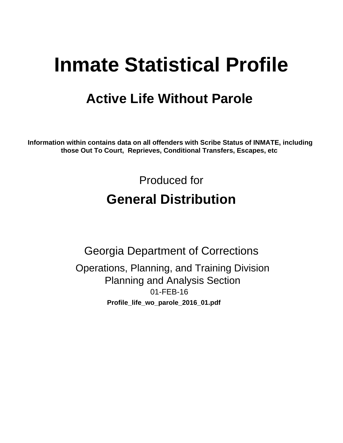# **Inmate Statistical Profile**

## **Active Life Without Parole**

Information within contains data on all offenders with Scribe Status of INMATE, including those Out To Court, Reprieves, Conditional Transfers, Escapes, etc

> Produced for **General Distribution**

**Georgia Department of Corrections** Operations, Planning, and Training Division **Planning and Analysis Section** 01-FEB-16 Profile\_life\_wo\_parole\_2016\_01.pdf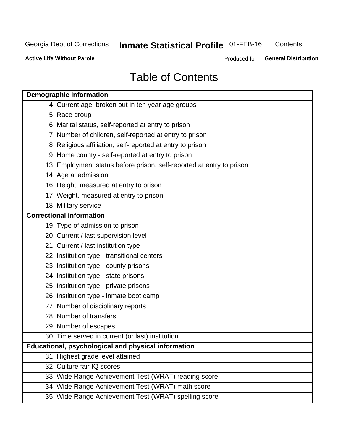## **Inmate Statistical Profile 01-FEB-16**

Contents

**Active Life Without Parole** 

Produced for General Distribution

## **Table of Contents**

| <b>Demographic information</b>                                       |
|----------------------------------------------------------------------|
| 4 Current age, broken out in ten year age groups                     |
| 5 Race group                                                         |
| 6 Marital status, self-reported at entry to prison                   |
| 7 Number of children, self-reported at entry to prison               |
| 8 Religious affiliation, self-reported at entry to prison            |
| 9 Home county - self-reported at entry to prison                     |
| 13 Employment status before prison, self-reported at entry to prison |
| 14 Age at admission                                                  |
| 16 Height, measured at entry to prison                               |
| 17 Weight, measured at entry to prison                               |
| 18 Military service                                                  |
| <b>Correctional information</b>                                      |
| 19 Type of admission to prison                                       |
| 20 Current / last supervision level                                  |
| 21 Current / last institution type                                   |
| 22 Institution type - transitional centers                           |
| 23 Institution type - county prisons                                 |
| 24 Institution type - state prisons                                  |
| 25 Institution type - private prisons                                |
| 26 Institution type - inmate boot camp                               |
| 27 Number of disciplinary reports                                    |
| 28 Number of transfers                                               |
| 29 Number of escapes                                                 |
| 30 Time served in current (or last) institution                      |
| Educational, psychological and physical information                  |
| 31 Highest grade level attained                                      |
| 32 Culture fair IQ scores                                            |
| 33 Wide Range Achievement Test (WRAT) reading score                  |
| 34 Wide Range Achievement Test (WRAT) math score                     |
| 35 Wide Range Achievement Test (WRAT) spelling score                 |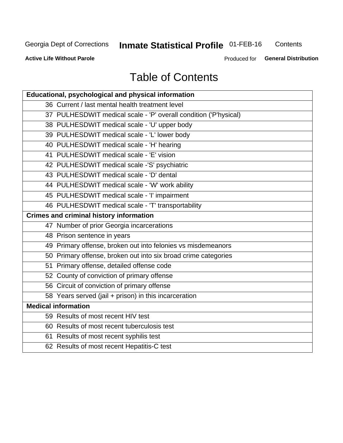## **Inmate Statistical Profile 01-FEB-16**

Contents

**Active Life Without Parole** 

Produced for General Distribution

## **Table of Contents**

| Educational, psychological and physical information              |
|------------------------------------------------------------------|
| 36 Current / last mental health treatment level                  |
| 37 PULHESDWIT medical scale - 'P' overall condition ('P'hysical) |
| 38 PULHESDWIT medical scale - 'U' upper body                     |
| 39 PULHESDWIT medical scale - 'L' lower body                     |
| 40 PULHESDWIT medical scale - 'H' hearing                        |
| 41 PULHESDWIT medical scale - 'E' vision                         |
| 42 PULHESDWIT medical scale -'S' psychiatric                     |
| 43 PULHESDWIT medical scale - 'D' dental                         |
| 44 PULHESDWIT medical scale - 'W' work ability                   |
| 45 PULHESDWIT medical scale - 'I' impairment                     |
| 46 PULHESDWIT medical scale - 'T' transportability               |
| <b>Crimes and criminal history information</b>                   |
| 47 Number of prior Georgia incarcerations                        |
| 48 Prison sentence in years                                      |
| 49 Primary offense, broken out into felonies vs misdemeanors     |
| 50 Primary offense, broken out into six broad crime categories   |
| 51 Primary offense, detailed offense code                        |
| 52 County of conviction of primary offense                       |
| 56 Circuit of conviction of primary offense                      |
| 58 Years served (jail + prison) in this incarceration            |
| <b>Medical information</b>                                       |
| 59 Results of most recent HIV test                               |
| 60 Results of most recent tuberculosis test                      |
| 61 Results of most recent syphilis test                          |
| 62 Results of most recent Hepatitis-C test                       |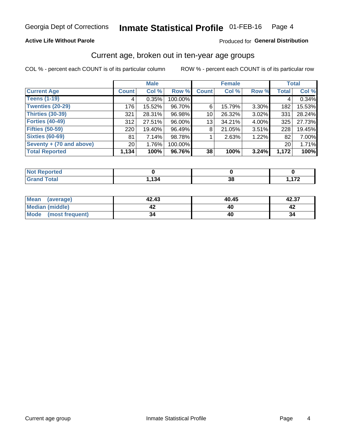### **Active Life Without Parole**

### Produced for General Distribution

### Current age, broken out in ten-year age groups

COL % - percent each COUNT is of its particular column

|                          | <b>Male</b>     |        |         | <b>Female</b> |        |          | <b>Total</b>    |        |
|--------------------------|-----------------|--------|---------|---------------|--------|----------|-----------------|--------|
| <b>Current Age</b>       | <b>Count</b>    | Col %  | Row %   | <b>Count</b>  | Col %  | Row %    | <b>Total</b>    | Col %  |
| <b>Teens (1-19)</b>      | 4               | 0.35%  | 100.00% |               |        |          | 4               | 0.34%  |
| <b>Twenties (20-29)</b>  | 176             | 15.52% | 96.70%  | 6             | 15.79% | $3.30\%$ | 182             | 15.53% |
| Thirties (30-39)         | 321             | 28.31% | 96.98%  | 10            | 26.32% | 3.02%    | 331             | 28.24% |
| <b>Forties (40-49)</b>   | 312             | 27.51% | 96.00%  | 13            | 34.21% | 4.00%    | 325             | 27.73% |
| <b>Fifties (50-59)</b>   | 220             | 19.40% | 96.49%  | 8             | 21.05% | 3.51%    | 228             | 19.45% |
| <b>Sixties (60-69)</b>   | 81              | 7.14%  | 98.78%  |               | 2.63%  | 1.22%    | 82              | 7.00%  |
| Seventy + (70 and above) | 20 <sub>1</sub> | 1.76%  | 100.00% |               |        |          | 20 <sub>1</sub> | 1.71%  |
| <b>Total Reported</b>    | 1,134           | 100%   | 96.76%  | 38            | 100%   | 3.24%    | 1,172           | 100%   |

| <b>State Administration</b><br>N<br>тет. |     |    |     |
|------------------------------------------|-----|----|-----|
| $f \wedge f \wedge f$                    | 121 | ^^ | 170 |
| _____                                    | די  | ◡  | .   |

| Mean<br>(average)      | 42.43 | 40.45 | 42.37 |
|------------------------|-------|-------|-------|
| <b>Median (middle)</b> |       |       |       |
| Mode (most frequent)   | 34    |       |       |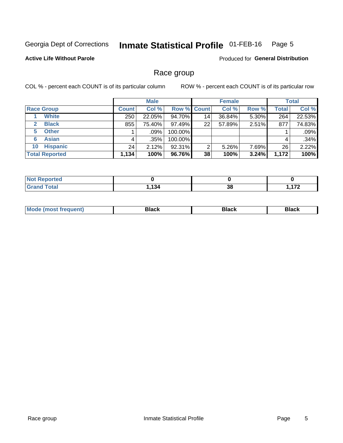#### Inmate Statistical Profile 01-FEB-16 Page 5

### **Active Life Without Parole**

**Produced for General Distribution** 

### Race group

COL % - percent each COUNT is of its particular column

|                              |              | <b>Male</b> |                    |                 | <b>Female</b> |       |              | <b>Total</b> |  |
|------------------------------|--------------|-------------|--------------------|-----------------|---------------|-------|--------------|--------------|--|
| <b>Race Group</b>            | <b>Count</b> | Col %       | <b>Row % Count</b> |                 | Col %         | Row % | <b>Total</b> | Col %        |  |
| <b>White</b>                 | 250          | 22.05%      | 94.70%             | 14 <sub>1</sub> | 36.84%        | 5.30% | 264          | 22.53%       |  |
| <b>Black</b><br>$\mathbf{2}$ | 855          | 75.40%      | 97.49%             | 22              | 57.89%        | 2.51% | 877          | 74.83%       |  |
| <b>Other</b><br>5.           |              | $.09\%$     | 100.00%            |                 |               |       |              | .09%         |  |
| <b>Asian</b><br>6            | 4            | .35%        | 100.00%            |                 |               |       | 4            | .34%         |  |
| <b>Hispanic</b><br>10        | 24           | 2.12%       | 92.31%             | 2               | 5.26%         | 7.69% | 26           | 2.22%        |  |
| <b>Total Reported</b>        | 1.134        | 100%        | 96.76%             | 38              | 100%          | 3.24% | 1,172        | 100%         |  |

| .<br>тео |               |    |          |
|----------|---------------|----|----------|
|          | 4 O A<br>- רט | 38 | 170<br>. |

| M | - - - |  |
|---|-------|--|
|   |       |  |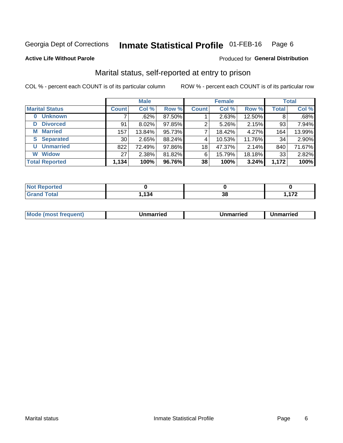#### Inmate Statistical Profile 01-FEB-16 Page 6

#### **Active Life Without Parole**

#### Produced for General Distribution

## Marital status, self-reported at entry to prison

COL % - percent each COUNT is of its particular column

|                            | <b>Male</b>     |          |        | <b>Female</b> |        |        | <b>Total</b> |        |
|----------------------------|-----------------|----------|--------|---------------|--------|--------|--------------|--------|
| <b>Marital Status</b>      | <b>Count</b>    | Col %    | Row %  | <b>Count</b>  | Col %  | Row %  | <b>Total</b> | Col %  |
| <b>Unknown</b><br>$\bf{0}$ |                 | .62%     | 87.50% |               | 2.63%  | 12.50% | 8            | .68%   |
| <b>Divorced</b><br>D       | 91              | $8.02\%$ | 97.85% | 2             | 5.26%  | 2.15%  | 93           | 7.94%  |
| <b>Married</b><br>М        | 157             | 13.84%   | 95.73% |               | 18.42% | 4.27%  | 164          | 13.99% |
| <b>Separated</b><br>S      | 30 <sub>1</sub> | 2.65%    | 88.24% | 4             | 10.53% | 11.76% | 34           | 2.90%  |
| <b>Unmarried</b><br>U      | 822             | 72.49%   | 97.86% | 18            | 47.37% | 2.14%  | 840          | 71.67% |
| <b>Widow</b><br>W          | 27              | 2.38%    | 81.82% | 6             | 15.79% | 18.18% | 33           | 2.82%  |
| <b>Total Reported</b>      | 1,134           | 100%     | 96.76% | 38            | 100%   | 3.24%  | 1,172        | 100%   |

| <b>Not Reported</b><br>. <b>.</b> |      |          |                     |
|-----------------------------------|------|----------|---------------------|
| <b>Total</b>                      | ,134 | 00<br>აი | $\mathbf{z}$<br>. . |

|--|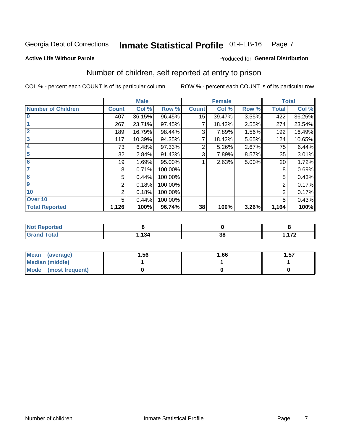#### Inmate Statistical Profile 01-FEB-16 Page 7

#### **Active Life Without Parole**

### Produced for General Distribution

## Number of children, self reported at entry to prison

COL % - percent each COUNT is of its particular column

|                           |              | <b>Male</b> |         |                  | <b>Female</b> |       |              | <b>Total</b> |
|---------------------------|--------------|-------------|---------|------------------|---------------|-------|--------------|--------------|
| <b>Number of Children</b> | <b>Count</b> | Col %       | Row %   | <b>Count</b>     | Col %         | Row % | <b>Total</b> | Col %        |
| $\bf{0}$                  | 407          | 36.15%      | 96.45%  | 15 <sub>15</sub> | 39.47%        | 3.55% | 422          | 36.25%       |
|                           | 267          | 23.71%      | 97.45%  |                  | 18.42%        | 2.55% | 274          | 23.54%       |
| $\overline{2}$            | 189          | 16.79%      | 98.44%  | 3                | 7.89%         | 1.56% | 192          | 16.49%       |
| 3                         | 117          | 10.39%      | 94.35%  | 7                | 18.42%        | 5.65% | 124          | 10.65%       |
| 4                         | 73           | 6.48%       | 97.33%  | 2                | 5.26%         | 2.67% | 75           | 6.44%        |
| 5                         | 32           | 2.84%       | 91.43%  | 3                | 7.89%         | 8.57% | 35           | 3.01%        |
| 6                         | 19           | 1.69%       | 95.00%  |                  | 2.63%         | 5.00% | 20           | 1.72%        |
| 7                         | 8            | 0.71%       | 100.00% |                  |               |       | 8            | 0.69%        |
| 8                         | 5            | 0.44%       | 100.00% |                  |               |       | 5            | 0.43%        |
| $\boldsymbol{9}$          | 2            | 0.18%       | 100.00% |                  |               |       | 2            | 0.17%        |
| 10                        | 2            | 0.18%       | 100.00% |                  |               |       | 2            | 0.17%        |
| Over 10                   | 5            | 0.44%       | 100.00% |                  |               |       | 5            | 0.43%        |
| <b>Total Reported</b>     | 1,126        | 100%        | 96.74%  | 38               | 100%          | 3.26% | 1,164        | 100%         |

| rteo                         |            |                             |     |
|------------------------------|------------|-----------------------------|-----|
| المقماد<br>υιαι<br>$- \cdot$ | 121<br>954 | $\sim$ $\sim$<br>- 95<br>ათ | 170 |

| <b>Mean</b><br>(average) | 1.56 | 1.66 | ⊪.57 |
|--------------------------|------|------|------|
| <b>Median (middle)</b>   |      |      |      |
| Mode<br>(most frequent)  |      |      |      |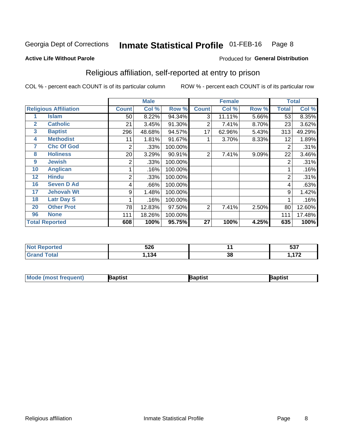#### Inmate Statistical Profile 01-FEB-16 Page 8

Produced for General Distribution

#### **Active Life Without Parole**

## Religious affiliation, self-reported at entry to prison

COL % - percent each COUNT is of its particular column

|              |                              |              | <b>Male</b> |         |                | <b>Female</b> |       |       | <b>Total</b> |
|--------------|------------------------------|--------------|-------------|---------|----------------|---------------|-------|-------|--------------|
|              | <b>Religious Affiliation</b> | <b>Count</b> | Col %       | Row %   | <b>Count</b>   | Col %         | Row % | Total | Col %        |
|              | <b>Islam</b>                 | 50           | 8.22%       | 94.34%  | 3              | 11.11%        | 5.66% | 53    | 8.35%        |
| $\mathbf{2}$ | <b>Catholic</b>              | 21           | 3.45%       | 91.30%  | 2              | 7.41%         | 8.70% | 23    | 3.62%        |
| 3            | <b>Baptist</b>               | 296          | 48.68%      | 94.57%  | 17             | 62.96%        | 5.43% | 313   | 49.29%       |
| 4            | <b>Methodist</b>             | 11           | 1.81%       | 91.67%  |                | 3.70%         | 8.33% | 12    | 1.89%        |
| 7            | <b>Chc Of God</b>            | 2            | .33%        | 100.00% |                |               |       | 2     | .31%         |
| 8            | <b>Holiness</b>              | 20           | 3.29%       | 90.91%  | $\overline{2}$ | 7.41%         | 9.09% | 22    | 3.46%        |
| 9            | <b>Jewish</b>                | 2            | .33%        | 100.00% |                |               |       | 2     | .31%         |
| 10           | <b>Anglican</b>              |              | .16%        | 100.00% |                |               |       |       | .16%         |
| 12           | <b>Hindu</b>                 | 2            | .33%        | 100.00% |                |               |       | 2     | .31%         |
| 16           | <b>Seven D Ad</b>            | 4            | .66%        | 100.00% |                |               |       | 4     | .63%         |
| 17           | <b>Jehovah Wt</b>            | 9            | 1.48%       | 100.00% |                |               |       | 9     | 1.42%        |
| 18           | <b>Latr Day S</b>            |              | .16%        | 100.00% |                |               |       |       | .16%         |
| 20           | <b>Other Prot</b>            | 78           | 12.83%      | 97.50%  | 2              | 7.41%         | 2.50% | 80    | 12.60%       |
| 96           | <b>None</b>                  | 111          | 18.26%      | 100.00% |                |               |       | 111   | 17.48%       |
|              | <b>Total Reported</b>        | 608          | 100%        | 95.75%  | 27             | 100%          | 4.25% | 635   | 100%         |

| rreo  | <b>EOC</b> |         | F27            |
|-------|------------|---------|----------------|
| .     | JŁU        |         | ິບບ.           |
| _____ | ٠о.        | ົ<br>၁၀ | $\overline{a}$ |

| Mod<br>de (most frequent). | 3aptist | aptist | Baptist |
|----------------------------|---------|--------|---------|
|                            |         |        |         |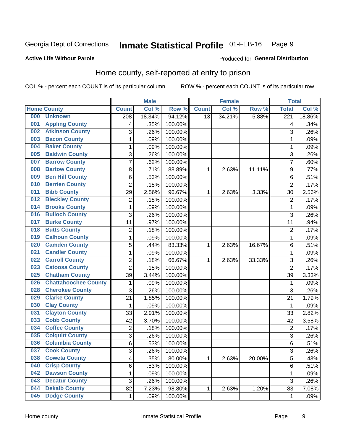#### Inmate Statistical Profile 01-FEB-16 Page 9

### **Active Life Without Parole**

### Produced for General Distribution

## Home county, self-reported at entry to prison

COL % - percent each COUNT is of its particular column

|     |                             |                | <b>Male</b> |         |                 | <b>Female</b> |        | <b>Total</b>     |        |
|-----|-----------------------------|----------------|-------------|---------|-----------------|---------------|--------|------------------|--------|
|     | <b>Home County</b>          | <b>Count</b>   | Col %       | Row %   | <b>Count</b>    | Col %         | Row %  | <b>Total</b>     | Col %  |
| 000 | <b>Unknown</b>              | 208            | 18.34%      | 94.12%  | $\overline{13}$ | 34.21%        | 5.88%  | $\overline{221}$ | 18.86% |
| 001 | <b>Appling County</b>       | 4              | .35%        | 100.00% |                 |               |        | 4                | .34%   |
| 002 | <b>Atkinson County</b>      | 3              | .26%        | 100.00% |                 |               |        | 3                | .26%   |
| 003 | <b>Bacon County</b>         | 1              | .09%        | 100.00% |                 |               |        | 1                | .09%   |
| 004 | <b>Baker County</b>         | $\mathbf 1$    | .09%        | 100.00% |                 |               |        | 1                | .09%   |
| 005 | <b>Baldwin County</b>       | 3              | .26%        | 100.00% |                 |               |        | 3                | .26%   |
| 007 | <b>Barrow County</b>        | $\overline{7}$ | .62%        | 100.00% |                 |               |        | $\overline{7}$   | .60%   |
| 008 | <b>Bartow County</b>        | 8              | .71%        | 88.89%  | 1               | 2.63%         | 11.11% | 9                | .77%   |
| 009 | <b>Ben Hill County</b>      | 6              | .53%        | 100.00% |                 |               |        | 6                | .51%   |
| 010 | <b>Berrien County</b>       | $\overline{2}$ | .18%        | 100.00% |                 |               |        | $\overline{2}$   | .17%   |
| 011 | <b>Bibb County</b>          | 29             | 2.56%       | 96.67%  | 1               | 2.63%         | 3.33%  | 30               | 2.56%  |
| 012 | <b>Bleckley County</b>      | $\overline{2}$ | .18%        | 100.00% |                 |               |        | $\overline{2}$   | .17%   |
| 014 | <b>Brooks County</b>        | $\mathbf{1}$   | .09%        | 100.00% |                 |               |        | 1                | .09%   |
| 016 | <b>Bulloch County</b>       | 3              | .26%        | 100.00% |                 |               |        | 3                | .26%   |
| 017 | <b>Burke County</b>         | 11             | .97%        | 100.00% |                 |               |        | 11               | .94%   |
| 018 | <b>Butts County</b>         | $\overline{2}$ | .18%        | 100.00% |                 |               |        | $\overline{2}$   | .17%   |
| 019 | <b>Calhoun County</b>       | $\mathbf 1$    | .09%        | 100.00% |                 |               |        | 1                | .09%   |
| 020 | <b>Camden County</b>        | 5              | .44%        | 83.33%  | 1               | 2.63%         | 16.67% | 6                | .51%   |
| 021 | <b>Candler County</b>       | $\mathbf 1$    | .09%        | 100.00% |                 |               |        | 1                | .09%   |
| 022 | <b>Carroll County</b>       | $\overline{c}$ | .18%        | 66.67%  | 1               | 2.63%         | 33.33% | 3                | .26%   |
| 023 | <b>Catoosa County</b>       | $\overline{2}$ | .18%        | 100.00% |                 |               |        | $\overline{2}$   | .17%   |
| 025 | <b>Chatham County</b>       | 39             | 3.44%       | 100.00% |                 |               |        | 39               | 3.33%  |
| 026 | <b>Chattahoochee County</b> | 1              | .09%        | 100.00% |                 |               |        | 1                | .09%   |
| 028 | <b>Cherokee County</b>      | 3              | .26%        | 100.00% |                 |               |        | 3                | .26%   |
| 029 | <b>Clarke County</b>        | 21             | 1.85%       | 100.00% |                 |               |        | 21               | 1.79%  |
| 030 | <b>Clay County</b>          | 1              | .09%        | 100.00% |                 |               |        | 1                | .09%   |
| 031 | <b>Clayton County</b>       | 33             | 2.91%       | 100.00% |                 |               |        | 33               | 2.82%  |
| 033 | <b>Cobb County</b>          | 42             | 3.70%       | 100.00% |                 |               |        | 42               | 3.58%  |
| 034 | <b>Coffee County</b>        | $\overline{c}$ | .18%        | 100.00% |                 |               |        | 2                | .17%   |
| 035 | <b>Colquitt County</b>      | 3              | .26%        | 100.00% |                 |               |        | 3                | .26%   |
| 036 | <b>Columbia County</b>      | 6              | .53%        | 100.00% |                 |               |        | 6                | .51%   |
| 037 | <b>Cook County</b>          | 3              | .26%        | 100.00% |                 |               |        | 3                | .26%   |
| 038 | <b>Coweta County</b>        | 4              | .35%        | 80.00%  | $\mathbf{1}$    | 2.63%         | 20.00% | 5                | .43%   |
| 040 | <b>Crisp County</b>         | 6              | .53%        | 100.00% |                 |               |        | 6                | .51%   |
| 042 | <b>Dawson County</b>        | 1              | .09%        | 100.00% |                 |               |        | 1                | .09%   |
| 043 | <b>Decatur County</b>       | 3              | .26%        | 100.00% |                 |               |        | 3                | .26%   |
| 044 | <b>Dekalb County</b>        | 82             | 7.23%       | 98.80%  | 1               | 2.63%         | 1.20%  | 83               | 7.08%  |
| 045 | <b>Dodge County</b>         | $\mathbf 1$    | .09%        | 100.00% |                 |               |        | 1                | .09%   |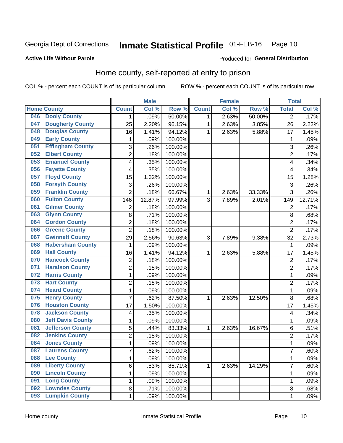#### **Inmate Statistical Profile 01-FEB-16** Page 10

Produced for General Distribution

### **Active Life Without Parole**

## Home county, self-reported at entry to prison

COL % - percent each COUNT is of its particular column

|     |                          |                           | <b>Male</b> |         |              | <b>Female</b> |        | <b>Total</b>   |        |
|-----|--------------------------|---------------------------|-------------|---------|--------------|---------------|--------|----------------|--------|
|     | <b>Home County</b>       | <b>Count</b>              | Col %       | Row %   | <b>Count</b> | Col %         | Row %  | <b>Total</b>   | Col %  |
| 046 | <b>Dooly County</b>      | 1                         | .09%        | 50.00%  | 1            | 2.63%         | 50.00% | $\overline{2}$ | .17%   |
| 047 | <b>Dougherty County</b>  | 25                        | 2.20%       | 96.15%  | $\mathbf{1}$ | 2.63%         | 3.85%  | 26             | 2.22%  |
| 048 | <b>Douglas County</b>    | 16                        | 1.41%       | 94.12%  | $\mathbf{1}$ | 2.63%         | 5.88%  | 17             | 1.45%  |
| 049 | <b>Early County</b>      | 1                         | .09%        | 100.00% |              |               |        | 1              | .09%   |
| 051 | <b>Effingham County</b>  | $\sqrt{3}$                | .26%        | 100.00% |              |               |        | 3              | .26%   |
| 052 | <b>Elbert County</b>     | $\overline{c}$            | .18%        | 100.00% |              |               |        | $\overline{2}$ | .17%   |
| 053 | <b>Emanuel County</b>    | 4                         | .35%        | 100.00% |              |               |        | 4              | .34%   |
| 056 | <b>Fayette County</b>    | 4                         | .35%        | 100.00% |              |               |        | 4              | .34%   |
| 057 | <b>Floyd County</b>      | 15                        | 1.32%       | 100.00% |              |               |        | 15             | 1.28%  |
| 058 | <b>Forsyth County</b>    | $\ensuremath{\mathsf{3}}$ | .26%        | 100.00% |              |               |        | 3              | .26%   |
| 059 | <b>Franklin County</b>   | $\overline{2}$            | .18%        | 66.67%  | 1            | 2.63%         | 33.33% | 3              | .26%   |
| 060 | <b>Fulton County</b>     | 146                       | 12.87%      | 97.99%  | 3            | 7.89%         | 2.01%  | 149            | 12.71% |
| 061 | <b>Gilmer County</b>     | $\overline{2}$            | .18%        | 100.00% |              |               |        | $\overline{2}$ | .17%   |
| 063 | <b>Glynn County</b>      | 8                         | .71%        | 100.00% |              |               |        | 8              | .68%   |
| 064 | <b>Gordon County</b>     | $\overline{2}$            | .18%        | 100.00% |              |               |        | $\overline{2}$ | .17%   |
| 066 | <b>Greene County</b>     | $\overline{2}$            | .18%        | 100.00% |              |               |        | $\overline{2}$ | .17%   |
| 067 | <b>Gwinnett County</b>   | 29                        | 2.56%       | 90.63%  | 3            | 7.89%         | 9.38%  | 32             | 2.73%  |
| 068 | <b>Habersham County</b>  | 1                         | .09%        | 100.00% |              |               |        | $\mathbf 1$    | .09%   |
| 069 | <b>Hall County</b>       | 16                        | 1.41%       | 94.12%  | 1            | 2.63%         | 5.88%  | 17             | 1.45%  |
| 070 | <b>Hancock County</b>    | 2                         | .18%        | 100.00% |              |               |        | $\overline{2}$ | .17%   |
| 071 | <b>Haralson County</b>   | $\overline{2}$            | .18%        | 100.00% |              |               |        | $\overline{2}$ | .17%   |
| 072 | <b>Harris County</b>     | 1                         | .09%        | 100.00% |              |               |        | $\mathbf{1}$   | .09%   |
| 073 | <b>Hart County</b>       | $\overline{2}$            | .18%        | 100.00% |              |               |        | $\overline{2}$ | .17%   |
| 074 | <b>Heard County</b>      | 1                         | .09%        | 100.00% |              |               |        | 1              | .09%   |
| 075 | <b>Henry County</b>      | 7                         | .62%        | 87.50%  | $\mathbf{1}$ | 2.63%         | 12.50% | 8              | .68%   |
| 076 | <b>Houston County</b>    | 17                        | 1.50%       | 100.00% |              |               |        | 17             | 1.45%  |
| 078 | <b>Jackson County</b>    | 4                         | .35%        | 100.00% |              |               |        | 4              | .34%   |
| 080 | <b>Jeff Davis County</b> | 1                         | .09%        | 100.00% |              |               |        | 1              | .09%   |
| 081 | <b>Jefferson County</b>  | $\sqrt{5}$                | .44%        | 83.33%  | $\mathbf{1}$ | 2.63%         | 16.67% | 6              | .51%   |
| 082 | <b>Jenkins County</b>    | $\overline{c}$            | .18%        | 100.00% |              |               |        | $\overline{2}$ | .17%   |
| 084 | <b>Jones County</b>      | $\mathbf{1}$              | .09%        | 100.00% |              |               |        | $\mathbf{1}$   | .09%   |
| 087 | <b>Laurens County</b>    | 7                         | .62%        | 100.00% |              |               |        | 7              | .60%   |
| 088 | <b>Lee County</b>        | $\mathbf 1$               | .09%        | 100.00% |              |               |        | 1              | .09%   |
| 089 | <b>Liberty County</b>    | $\,6$                     | .53%        | 85.71%  | $\mathbf{1}$ | 2.63%         | 14.29% | $\overline{7}$ | .60%   |
| 090 | <b>Lincoln County</b>    | 1                         | .09%        | 100.00% |              |               |        | $\mathbf{1}$   | .09%   |
| 091 | <b>Long County</b>       | 1                         | .09%        | 100.00% |              |               |        | 1              | .09%   |
| 092 | <b>Lowndes County</b>    | 8                         | .71%        | 100.00% |              |               |        | 8              | .68%   |
| 093 | <b>Lumpkin County</b>    | $\mathbf 1$               | .09%        | 100.00% |              |               |        | $\mathbf{1}$   | .09%   |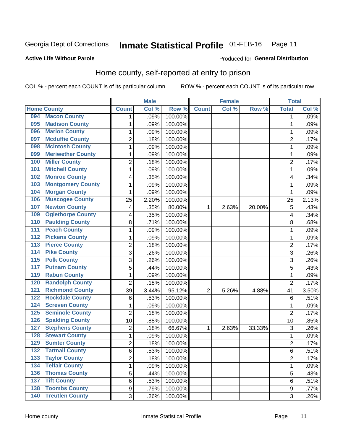#### Inmate Statistical Profile 01-FEB-16 Page 11

### **Active Life Without Parole**

#### Produced for General Distribution

## Home county, self-reported at entry to prison

COL % - percent each COUNT is of its particular column

|                  |                          |                           | <b>Male</b> |         |                | <b>Female</b> |        | <b>Total</b>   |       |
|------------------|--------------------------|---------------------------|-------------|---------|----------------|---------------|--------|----------------|-------|
|                  | <b>Home County</b>       | <b>Count</b>              | Col %       | Row %   | <b>Count</b>   | Col %         | Row %  | <b>Total</b>   | Col % |
| 094              | <b>Macon County</b>      | 1                         | .09%        | 100.00% |                |               |        | 1              | .09%  |
| 095              | <b>Madison County</b>    | 1                         | .09%        | 100.00% |                |               |        | 1              | .09%  |
| 096              | <b>Marion County</b>     | $\mathbf{1}$              | .09%        | 100.00% |                |               |        | 1              | .09%  |
| 097              | <b>Mcduffie County</b>   | $\overline{2}$            | .18%        | 100.00% |                |               |        | 2              | .17%  |
| 098              | <b>Mcintosh County</b>   | $\mathbf{1}$              | .09%        | 100.00% |                |               |        | 1              | .09%  |
| 099              | <b>Meriwether County</b> | $\mathbf{1}$              | .09%        | 100.00% |                |               |        | 1              | .09%  |
| 100              | <b>Miller County</b>     | 2                         | .18%        | 100.00% |                |               |        | 2              | .17%  |
| 101              | <b>Mitchell County</b>   | 1                         | .09%        | 100.00% |                |               |        | 1              | .09%  |
| 102              | <b>Monroe County</b>     | 4                         | .35%        | 100.00% |                |               |        | 4              | .34%  |
| 103              | <b>Montgomery County</b> | 1                         | .09%        | 100.00% |                |               |        | 1              | .09%  |
| 104              | <b>Morgan County</b>     | 1                         | .09%        | 100.00% |                |               |        | 1              | .09%  |
| 106              | <b>Muscogee County</b>   | 25                        | 2.20%       | 100.00% |                |               |        | 25             | 2.13% |
| 107              | <b>Newton County</b>     | $\overline{\mathcal{A}}$  | .35%        | 80.00%  | 1              | 2.63%         | 20.00% | 5              | .43%  |
| 109              | <b>Oglethorpe County</b> | $\overline{\mathbf{4}}$   | .35%        | 100.00% |                |               |        | 4              | .34%  |
| 110              | <b>Paulding County</b>   | 8                         | .71%        | 100.00% |                |               |        | 8              | .68%  |
| 111              | <b>Peach County</b>      | 1                         | .09%        | 100.00% |                |               |        | 1              | .09%  |
| $\overline{112}$ | <b>Pickens County</b>    | $\mathbf{1}$              | .09%        | 100.00% |                |               |        | 1              | .09%  |
| $\overline{113}$ | <b>Pierce County</b>     | $\overline{2}$            | .18%        | 100.00% |                |               |        | $\overline{2}$ | .17%  |
| $\overline{114}$ | <b>Pike County</b>       | 3                         | .26%        | 100.00% |                |               |        | 3              | .26%  |
| $\overline{115}$ | <b>Polk County</b>       | $\ensuremath{\mathsf{3}}$ | .26%        | 100.00% |                |               |        | 3              | .26%  |
| 117              | <b>Putnam County</b>     | 5                         | .44%        | 100.00% |                |               |        | 5              | .43%  |
| 119              | <b>Rabun County</b>      | $\mathbf{1}$              | .09%        | 100.00% |                |               |        | 1              | .09%  |
| 120              | <b>Randolph County</b>   | $\overline{2}$            | .18%        | 100.00% |                |               |        | $\overline{2}$ | .17%  |
| 121              | <b>Richmond County</b>   | 39                        | 3.44%       | 95.12%  | $\overline{2}$ | 5.26%         | 4.88%  | 41             | 3.50% |
| 122              | <b>Rockdale County</b>   | 6                         | .53%        | 100.00% |                |               |        | 6              | .51%  |
| 124              | <b>Screven County</b>    | 1                         | .09%        | 100.00% |                |               |        | 1              | .09%  |
| 125              | <b>Seminole County</b>   | $\overline{2}$            | .18%        | 100.00% |                |               |        | $\overline{2}$ | .17%  |
| 126              | <b>Spalding County</b>   | 10                        | .88%        | 100.00% |                |               |        | 10             | .85%  |
| 127              | <b>Stephens County</b>   | $\overline{2}$            | .18%        | 66.67%  | 1              | 2.63%         | 33.33% | 3              | .26%  |
| 128              | <b>Stewart County</b>    | $\mathbf{1}$              | .09%        | 100.00% |                |               |        | 1              | .09%  |
| 129              | <b>Sumter County</b>     | $\overline{2}$            | .18%        | 100.00% |                |               |        | $\overline{c}$ | .17%  |
| 132              | <b>Tattnall County</b>   | 6                         | .53%        | 100.00% |                |               |        | 6              | .51%  |
| 133              | <b>Taylor County</b>     | $\overline{2}$            | .18%        | 100.00% |                |               |        | 2              | .17%  |
| 134              | <b>Telfair County</b>    | $\mathbf 1$               | .09%        | 100.00% |                |               |        | 1              | .09%  |
| 136              | <b>Thomas County</b>     | $\sqrt{5}$                | .44%        | 100.00% |                |               |        | 5              | .43%  |
| 137              | <b>Tift County</b>       | 6                         | .53%        | 100.00% |                |               |        | 6              | .51%  |
| 138              | <b>Toombs County</b>     | 9                         | .79%        | 100.00% |                |               |        | 9              | .77%  |
| 140              | <b>Treutlen County</b>   | 3                         | .26%        | 100.00% |                |               |        | 3              | .26%  |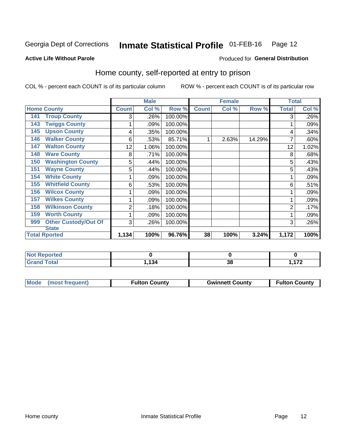#### Inmate Statistical Profile 01-FEB-16 Page 12

### **Active Life Without Parole**

#### Produced for General Distribution

## Home county, self-reported at entry to prison

COL % - percent each COUNT is of its particular column

|                                    |              | <b>Male</b> |         |              | <b>Female</b> |        | <b>Total</b> |       |
|------------------------------------|--------------|-------------|---------|--------------|---------------|--------|--------------|-------|
| <b>Home County</b>                 | <b>Count</b> | Col %       | Row %   | <b>Count</b> | Col %         | Row %  | <b>Total</b> | Col % |
| <b>Troup County</b><br>141         | 3            | .26%        | 100.00% |              |               |        | 3            | .26%  |
| 143<br><b>Twiggs County</b>        |              | .09%        | 100.00% |              |               |        |              | .09%  |
| 145<br><b>Upson County</b>         | 4            | .35%        | 100.00% |              |               |        | 4            | .34%  |
| <b>Walker County</b><br>146        | 6            | .53%        | 85.71%  |              | 2.63%         | 14.29% |              | .60%  |
| <b>Walton County</b><br>147        | 12           | 1.06%       | 100.00% |              |               |        | 12           | 1.02% |
| <b>Ware County</b><br>148          | 8            | .71%        | 100.00% |              |               |        | 8            | .68%  |
| <b>Washington County</b><br>150    | 5            | .44%        | 100.00% |              |               |        | 5            | .43%  |
| <b>Wayne County</b><br>151         | 5            | .44%        | 100.00% |              |               |        | 5            | .43%  |
| <b>White County</b><br>154         | 1            | .09%        | 100.00% |              |               |        |              | .09%  |
| <b>Whitfield County</b><br>155     | 6            | .53%        | 100.00% |              |               |        | 6            | .51%  |
| <b>Wilcox County</b><br>156        | 1            | .09%        | 100.00% |              |               |        |              | .09%  |
| <b>Wilkes County</b><br>157        | 1            | .09%        | 100.00% |              |               |        |              | .09%  |
| <b>Wilkinson County</b><br>158     | 2            | .18%        | 100.00% |              |               |        | 2            | .17%  |
| <b>Worth County</b><br>159         |              | .09%        | 100.00% |              |               |        |              | .09%  |
| <b>Other Custody/Out Of</b><br>999 | 3            | .26%        | 100.00% |              |               |        | 3            | .26%  |
| <b>State</b>                       |              |             |         |              |               |        |              |       |
| <b>Total Rported</b>               | 1,134        | 100%        | 96.76%  | 38           | 100%          | 3.24%  | 1,172        | 100%  |

| oorted<br>n a |                |                      |          |
|---------------|----------------|----------------------|----------|
| $\sim$        | $\overline{A}$ | $\ddot{\phantom{0}}$ | 170      |
|               | 194            | vu                   | $\cdots$ |

| Mode (most frequent) | <b>Fulton County</b> | <b>Gwinnett County</b> | <b>Fulton County</b> |
|----------------------|----------------------|------------------------|----------------------|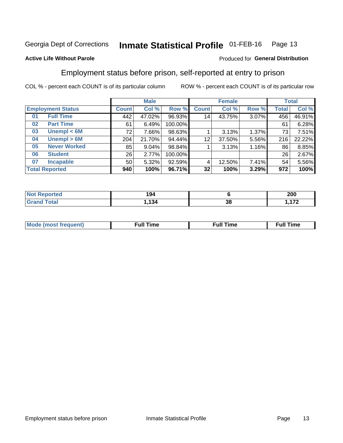#### Inmate Statistical Profile 01-FEB-16 Page 13

#### **Active Life Without Parole**

### Produced for General Distribution

## Employment status before prison, self-reported at entry to prison

COL % - percent each COUNT is of its particular column

|                           |         | <b>Male</b> |         |                 | <b>Female</b> |       |       | <b>Total</b> |
|---------------------------|---------|-------------|---------|-----------------|---------------|-------|-------|--------------|
| <b>Employment Status</b>  | Count l | Col %       | Row %   | <b>Count</b>    | Col %         | Row % | Total | Col %        |
| <b>Full Time</b><br>01    | 442     | 47.02%      | 96.93%  | 14              | 43.75%        | 3.07% | 456   | 46.91%       |
| <b>Part Time</b><br>02    | 61      | 6.49%       | 100.00% |                 |               |       | 61    | 6.28%        |
| Unempl $<$ 6M<br>03       | 72      | 7.66%       | 98.63%  |                 | 3.13%         | 1.37% | 73    | 7.51%        |
| Unempl > 6M<br>04         | 204     | 21.70%      | 94.44%  | 12 <sup>2</sup> | 37.50%        | 5.56% | 216   | 22.22%       |
| <b>Never Worked</b><br>05 | 85      | 9.04%       | 98.84%  |                 | 3.13%         | 1.16% | 86    | 8.85%        |
| <b>Student</b><br>06      | 26      | 2.77%       | 100.00% |                 |               |       | 26    | 2.67%        |
| <b>Incapable</b><br>07    | 50      | 5.32%       | 92.59%  |                 | 12.50%        | 7.41% | 54    | 5.56%        |
| <b>Total Reported</b>     | 940     | 100%        | 96.71%  | 32              | 100%          | 3.29% | 972   | 100%         |

| i Albert<br>----<br>тес<br>m. | 194<br>$  -$ |          | nnn<br>ZUU               |
|-------------------------------|--------------|----------|--------------------------|
| <b>Total</b>                  | <b>134</b>   | ^'<br>၁၀ | $\overline{\phantom{a}}$ |

| Mc | ∴ull | ----<br>ıme<br>w |
|----|------|------------------|
|    |      |                  |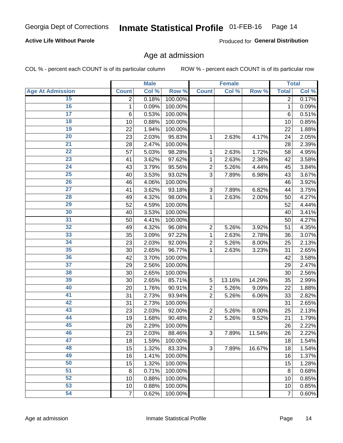### **Active Life Without Parole**

Produced for General Distribution

### Age at admission

COL % - percent each COUNT is of its particular column

|                         |                 | <b>Male</b> |         |                | <b>Female</b> |        |                | <b>Total</b> |
|-------------------------|-----------------|-------------|---------|----------------|---------------|--------|----------------|--------------|
| <b>Age At Admission</b> | <b>Count</b>    | Col %       | Row %   | <b>Count</b>   | Col %         | Row %  | <b>Total</b>   | Col %        |
| 15                      | 2               | 0.18%       | 100.00% |                |               |        | 2              | 0.17%        |
| 16                      | 1               | 0.09%       | 100.00% |                |               |        | $\mathbf{1}$   | 0.09%        |
| $\overline{17}$         | $6\phantom{1}6$ | 0.53%       | 100.00% |                |               |        | 6              | 0.51%        |
| 18                      | 10              | 0.88%       | 100.00% |                |               |        | 10             | 0.85%        |
| 19                      | 22              | 1.94%       | 100.00% |                |               |        | 22             | 1.88%        |
| $\overline{20}$         | 23              | 2.03%       | 95.83%  | 1              | 2.63%         | 4.17%  | 24             | 2.05%        |
| 21                      | 28              | 2.47%       | 100.00% |                |               |        | 28             | 2.39%        |
| 22                      | 57              | 5.03%       | 98.28%  | 1              | 2.63%         | 1.72%  | 58             | 4.95%        |
| 23                      | 41              | 3.62%       | 97.62%  | 1              | 2.63%         | 2.38%  | 42             | 3.58%        |
| 24                      | 43              | 3.79%       | 95.56%  | $\overline{2}$ | 5.26%         | 4.44%  | 45             | 3.84%        |
| $\overline{25}$         | 40              | 3.53%       | 93.02%  | 3              | 7.89%         | 6.98%  | 43             | 3.67%        |
| 26                      | 46              | 4.06%       | 100.00% |                |               |        | 46             | 3.92%        |
| $\overline{27}$         | 41              | 3.62%       | 93.18%  | 3              | 7.89%         | 6.82%  | 44             | 3.75%        |
| 28                      | 49              | 4.32%       | 98.00%  | 1              | 2.63%         | 2.00%  | 50             | 4.27%        |
| 29                      | 52              | 4.59%       | 100.00% |                |               |        | 52             | 4.44%        |
| 30                      | 40              | 3.53%       | 100.00% |                |               |        | 40             | 3.41%        |
| 31                      | 50              | 4.41%       | 100.00% |                |               |        | 50             | 4.27%        |
| 32                      | 49              | 4.32%       | 96.08%  | $\overline{c}$ | 5.26%         | 3.92%  | 51             | 4.35%        |
| 33                      | 35              | 3.09%       | 97.22%  | 1              | 2.63%         | 2.78%  | 36             | 3.07%        |
| 34                      | 23              | 2.03%       | 92.00%  | $\overline{2}$ | 5.26%         | 8.00%  | 25             | 2.13%        |
| 35                      | 30              | 2.65%       | 96.77%  | 1              | 2.63%         | 3.23%  | 31             | 2.65%        |
| 36                      | 42              | 3.70%       | 100.00% |                |               |        | 42             | 3.58%        |
| $\overline{37}$         | 29              | 2.56%       | 100.00% |                |               |        | 29             | 2.47%        |
| 38                      | 30              | 2.65%       | 100.00% |                |               |        | 30             | 2.56%        |
| 39                      | 30              | 2.65%       | 85.71%  | 5              | 13.16%        | 14.29% | 35             | 2.99%        |
| 40                      | 20              | 1.76%       | 90.91%  | $\overline{2}$ | 5.26%         | 9.09%  | 22             | 1.88%        |
| 41                      | 31              | 2.73%       | 93.94%  | $\overline{2}$ | 5.26%         | 6.06%  | 33             | 2.82%        |
| 42                      | 31              | 2.73%       | 100.00% |                |               |        | 31             | 2.65%        |
| 43                      | 23              | 2.03%       | 92.00%  | $\overline{2}$ | 5.26%         | 8.00%  | 25             | 2.13%        |
| 44                      | 19              | 1.68%       | 90.48%  | $\overline{2}$ | 5.26%         | 9.52%  | 21             | 1.79%        |
| 45                      | 26              | 2.29%       | 100.00% |                |               |        | 26             | 2.22%        |
| 46                      | 23              | 2.03%       | 88.46%  | 3              | 7.89%         | 11.54% | 26             | 2.22%        |
| 47                      | 18              | 1.59%       | 100.00% |                |               |        | 18             | 1.54%        |
| 48                      | 15              | 1.32%       | 83.33%  | 3              | 7.89%         | 16.67% | 18             | 1.54%        |
| 49                      | 16              | 1.41%       | 100.00% |                |               |        | 16             | 1.37%        |
| 50                      | 15              | 1.32%       | 100.00% |                |               |        | 15             | 1.28%        |
| $\overline{51}$         | 8               | 0.71%       | 100.00% |                |               |        | 8              | 0.68%        |
| 52                      | 10              | 0.88%       | 100.00% |                |               |        | 10             | 0.85%        |
| 53                      | 10              | 0.88%       | 100.00% |                |               |        | 10             | 0.85%        |
| 54                      | $\overline{7}$  | 0.62%       | 100.00% |                |               |        | $\overline{7}$ | 0.60%        |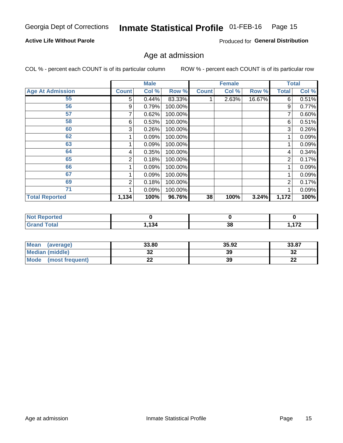#### Inmate Statistical Profile 01-FEB-16 Page 15

### **Active Life Without Parole**

Produced for General Distribution

### Age at admission

COL % - percent each COUNT is of its particular column

|                         |              | <b>Male</b> |         |              | <b>Female</b> |        |                | <b>Total</b> |
|-------------------------|--------------|-------------|---------|--------------|---------------|--------|----------------|--------------|
| <b>Age At Admission</b> | <b>Count</b> | Col %       | Row %   | <b>Count</b> | Col %         | Row %  | <b>Total</b>   | Col %        |
| 55                      | 5.           | 0.44%       | 83.33%  |              | 2.63%         | 16.67% | 6              | 0.51%        |
| 56                      | 9            | 0.79%       | 100.00% |              |               |        | 9              | 0.77%        |
| 57                      |              | 0.62%       | 100.00% |              |               |        | 7              | 0.60%        |
| 58                      | 6            | 0.53%       | 100.00% |              |               |        | 6              | 0.51%        |
| 60                      | 3            | 0.26%       | 100.00% |              |               |        | 3              | 0.26%        |
| 62                      |              | 0.09%       | 100.00% |              |               |        |                | 0.09%        |
| 63                      |              | 0.09%       | 100.00% |              |               |        |                | 0.09%        |
| 64                      | 4            | 0.35%       | 100.00% |              |               |        | 4              | 0.34%        |
| 65                      | 2            | 0.18%       | 100.00% |              |               |        | $\overline{2}$ | 0.17%        |
| 66                      |              | 0.09%       | 100.00% |              |               |        |                | 0.09%        |
| 67                      |              | 0.09%       | 100.00% |              |               |        |                | 0.09%        |
| 69                      | 2            | 0.18%       | 100.00% |              |               |        | 2              | 0.17%        |
| 71                      |              | 0.09%       | 100.00% |              |               |        |                | 0.09%        |
| <b>Total Reported</b>   | 1,134        | 100%        | 96.76%  | 38           | 100%          | 3.24%  | 1,172          | 100%         |

| <b>Not Reported</b> |      |         |     |
|---------------------|------|---------|-----|
| <b>Grand Total</b>  | ,134 | ົ<br>၁၀ | 170 |

| <b>Mean</b><br>(average) | 33.80 | 35.92 | 33.87    |
|--------------------------|-------|-------|----------|
| Median (middle)          | JZ    | 39    | າາ<br>∠د |
| Mode<br>(most frequent)  | --    | 39    | n.<br>LL |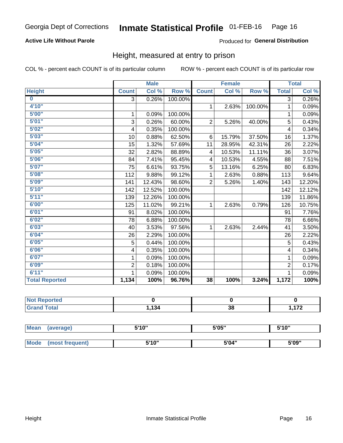### **Active Life Without Parole**

### Produced for General Distribution

### Height, measured at entry to prison

COL % - percent each COUNT is of its particular column

|                       |                | <b>Male</b> |         |                 | <b>Female</b> |         |                         | <b>Total</b> |
|-----------------------|----------------|-------------|---------|-----------------|---------------|---------|-------------------------|--------------|
| <b>Height</b>         | <b>Count</b>   | Col %       | Row %   | <b>Count</b>    | Col %         | Row %   | <b>Total</b>            | Col %        |
| $\bf{0}$              | $\overline{3}$ | 0.26%       | 100.00% |                 |               |         | 3                       | 0.26%        |
| 4'10"                 |                |             |         | $\mathbf{1}$    | 2.63%         | 100.00% | 1                       | 0.09%        |
| 5'00''                | 1              | 0.09%       | 100.00% |                 |               |         | 1                       | 0.09%        |
| 5'01"                 | 3              | 0.26%       | 60.00%  | $\overline{2}$  | 5.26%         | 40.00%  | 5                       | 0.43%        |
| 5'02"                 | 4              | 0.35%       | 100.00% |                 |               |         | 4                       | 0.34%        |
| 5'03''                | 10             | 0.88%       | 62.50%  | 6               | 15.79%        | 37.50%  | 16                      | 1.37%        |
| 5'04"                 | 15             | 1.32%       | 57.69%  | 11              | 28.95%        | 42.31%  | 26                      | 2.22%        |
| 5'05"                 | 32             | 2.82%       | 88.89%  | 4               | 10.53%        | 11.11%  | 36                      | 3.07%        |
| 5'06''                | 84             | 7.41%       | 95.45%  | 4               | 10.53%        | 4.55%   | 88                      | 7.51%        |
| 5'07''                | 75             | 6.61%       | 93.75%  | 5               | 13.16%        | 6.25%   | 80                      | 6.83%        |
| 5'08''                | 112            | 9.88%       | 99.12%  | 1               | 2.63%         | 0.88%   | 113                     | 9.64%        |
| 5'09''                | 141            | 12.43%      | 98.60%  | $\overline{2}$  | 5.26%         | 1.40%   | 143                     | 12.20%       |
| 5'10''                | 142            | 12.52%      | 100.00% |                 |               |         | 142                     | 12.12%       |
| 5'11"                 | 139            | 12.26%      | 100.00% |                 |               |         | 139                     | 11.86%       |
| 6'00''                | 125            | 11.02%      | 99.21%  | 1.              | 2.63%         | 0.79%   | 126                     | 10.75%       |
| 6'01''                | 91             | 8.02%       | 100.00% |                 |               |         | 91                      | 7.76%        |
| 6'02"                 | 78             | 6.88%       | 100.00% |                 |               |         | 78                      | 6.66%        |
| 6'03''                | 40             | 3.53%       | 97.56%  | $\mathbf{1}$    | 2.63%         | 2.44%   | 41                      | 3.50%        |
| 6'04"                 | 26             | 2.29%       | 100.00% |                 |               |         | 26                      | 2.22%        |
| 6'05"                 | 5              | 0.44%       | 100.00% |                 |               |         | 5                       | 0.43%        |
| 6'06''                | 4              | 0.35%       | 100.00% |                 |               |         | $\overline{\mathbf{4}}$ | 0.34%        |
| 6'07''                | 1              | 0.09%       | 100.00% |                 |               |         | 1                       | 0.09%        |
| 6'09''                | $\overline{2}$ | 0.18%       | 100.00% |                 |               |         | $\overline{2}$          | 0.17%        |
| 6'11''                | 1              | 0.09%       | 100.00% |                 |               |         | 1                       | 0.09%        |
| <b>Total Reported</b> | 1,134          | 100%        | 96.76%  | $\overline{38}$ | 100%          | 3.24%   | 1,172                   | 100%         |

| <b>Not Reported</b><br> |      |          |     |
|-------------------------|------|----------|-----|
| <i>i</i> otal           | ,134 | າດ<br>90 | ィフヘ |

| <b>Mean</b> | (average)       | 5'10" | 5'05" | 5'10"<br>J |
|-------------|-----------------|-------|-------|------------|
|             |                 |       |       |            |
| <b>Mode</b> | (most frequent) | 5'10" | 5'04" | 5'09"      |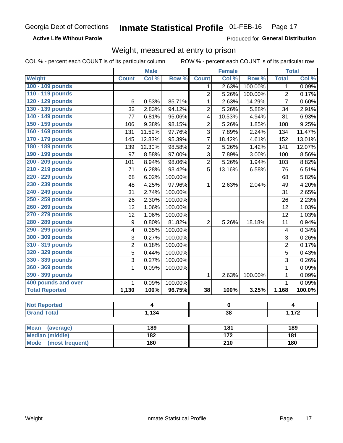**Active Life Without Parole** 

Produced for General Distribution

### Weight, measured at entry to prison

COL % - percent each COUNT is of its particular column

|                       |                         | <b>Male</b> |         |                 | <b>Female</b>   |         |                | <b>Total</b> |
|-----------------------|-------------------------|-------------|---------|-----------------|-----------------|---------|----------------|--------------|
| <b>Weight</b>         | <b>Count</b>            | Col %       | Row %   | <b>Count</b>    | Col %           | Row %   | <b>Total</b>   | Col %        |
| 100 - 109 pounds      |                         |             |         | 1               | 2.63%           | 100.00% | 1              | 0.09%        |
| 110 - 119 pounds      |                         |             |         | $\overline{2}$  | 5.26%           | 100.00% | $\overline{2}$ | 0.17%        |
| 120 - 129 pounds      | 6                       | 0.53%       | 85.71%  | $\mathbf{1}$    | 2.63%           | 14.29%  | $\overline{7}$ | 0.60%        |
| 130 - 139 pounds      | 32                      | 2.83%       | 94.12%  | $\overline{2}$  | 5.26%           | 5.88%   | 34             | 2.91%        |
| 140 - 149 pounds      | 77                      | 6.81%       | 95.06%  | 4               | 10.53%          | 4.94%   | 81             | 6.93%        |
| 150 - 159 pounds      | 106                     | 9.38%       | 98.15%  | $\overline{2}$  | 5.26%           | 1.85%   | 108            | 9.25%        |
| 160 - 169 pounds      | 131                     | 11.59%      | 97.76%  | $\overline{3}$  | 7.89%           | 2.24%   | 134            | 11.47%       |
| 170 - 179 pounds      | 145                     | 12.83%      | 95.39%  | $\overline{7}$  | 18.42%          | 4.61%   | 152            | 13.01%       |
| 180 - 189 pounds      | 139                     | 12.30%      | 98.58%  | $\overline{c}$  | 5.26%           | 1.42%   | 141            | 12.07%       |
| 190 - 199 pounds      | 97                      | 8.58%       | 97.00%  | $\overline{3}$  | 7.89%           | 3.00%   | 100            | 8.56%        |
| 200 - 209 pounds      | 101                     | 8.94%       | 98.06%  | $\overline{2}$  | 5.26%           | 1.94%   | 103            | 8.82%        |
| 210 - 219 pounds      | 71                      | 6.28%       | 93.42%  | 5               | 13.16%          | 6.58%   | 76             | 6.51%        |
| 220 - 229 pounds      | 68                      | 6.02%       | 100.00% |                 |                 |         | 68             | 5.82%        |
| 230 - 239 pounds      | 48                      | 4.25%       | 97.96%  | $\mathbf{1}$    | 2.63%           | 2.04%   | 49             | 4.20%        |
| 240 - 249 pounds      | 31                      | 2.74%       | 100.00% |                 |                 |         | 31             | 2.65%        |
| 250 - 259 pounds      | 26                      | 2.30%       | 100.00% |                 |                 |         | 26             | 2.23%        |
| 260 - 269 pounds      | 12                      | 1.06%       | 100.00% |                 |                 |         | 12             | 1.03%        |
| 270 - 279 pounds      | 12                      | 1.06%       | 100.00% |                 |                 |         | 12             | 1.03%        |
| 280 - 289 pounds      | 9                       | 0.80%       | 81.82%  | $\overline{2}$  | 5.26%           | 18.18%  | 11             | 0.94%        |
| 290 - 299 pounds      | $\overline{\mathbf{4}}$ | 0.35%       | 100.00% |                 |                 |         | 4              | 0.34%        |
| 300 - 309 pounds      | 3                       | 0.27%       | 100.00% |                 |                 |         | 3              | 0.26%        |
| 310 - 319 pounds      | $\overline{2}$          | 0.18%       | 100.00% |                 |                 |         | $\overline{2}$ | 0.17%        |
| 320 - 329 pounds      | 5                       | 0.44%       | 100.00% |                 |                 |         | 5              | 0.43%        |
| 330 - 339 pounds      | 3                       | 0.27%       | 100.00% |                 |                 |         | 3              | 0.26%        |
| 360 - 369 pounds      | $\mathbf 1$             | 0.09%       | 100.00% |                 |                 |         | $\mathbf{1}$   | 0.09%        |
| 390 - 399 pounds      |                         |             |         | 1               | 2.63%           | 100.00% | 1              | 0.09%        |
| 400 pounds and over   | $\mathbf{1}$            | 0.09%       | 100.00% |                 |                 |         | $\mathbf{1}$   | 0.09%        |
| <b>Total Reported</b> | 1,130                   | 100%        | 96.75%  | $\overline{38}$ | 100%            | 3.25%   | 1,168          | 100.0%       |
| <b>Not Reported</b>   |                         | 4           |         |                 | $\mathbf 0$     |         |                | 4            |
| <b>Grand Total</b>    |                         | 1,134       |         |                 | $\overline{38}$ |         |                | 1,172        |
|                       |                         |             |         |                 |                 |         |                |              |
| $\overline{1}$        |                         |             |         |                 |                 |         |                |              |

| Mean<br>(average)       | 189 | 181 | 189 |
|-------------------------|-----|-----|-----|
| Median (middle)         | 182 | 172 | 181 |
| Mode<br>(most frequent) | 180 | 210 | 180 |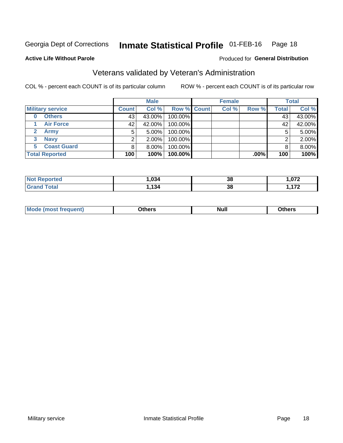#### Inmate Statistical Profile 01-FEB-16 Page 18

#### **Active Life Without Parole**

#### Produced for General Distribution

## Veterans validated by Veteran's Administration

COL % - percent each COUNT is of its particular column

|                         | <b>Male</b>  |          |                    | <b>Female</b> |       |         | <b>Total</b> |        |
|-------------------------|--------------|----------|--------------------|---------------|-------|---------|--------------|--------|
| <b>Military service</b> | <b>Count</b> | Col %    | <b>Row % Count</b> |               | Col % | Row %   | <b>Total</b> | Col %  |
| <b>Others</b><br>0      | 43           | 43.00%   | 100.00%            |               |       |         | 43           | 43.00% |
| <b>Air Force</b>        | 42           | 42.00%   | 100.00%            |               |       |         | 42           | 42.00% |
| <b>Army</b>             | 5            | $5.00\%$ | 100.00%            |               |       |         | 5            | 5.00%  |
| <b>Navy</b><br>3        |              | 2.00%    | 100.00%            |               |       |         | ◠            | 2.00%  |
| <b>Coast Guard</b><br>5 |              | 8.00%    | 100.00%            |               |       |         | 8            | 8.00%  |
| <b>Total Reported</b>   | 100          | 100%     | 100.00%            |               |       | $.00\%$ | 100          | 100%   |

| rteo        | .034 | っこ              | פר ה                |
|-------------|------|-----------------|---------------------|
| N           |      | ၁၀              |                     |
| $F = 4 - F$ | 12 A | - -<br>っこ<br>90 | 170<br>. <i>.</i> . |

| Mo<br><b>Null</b><br>วthers<br>______<br>_____<br>____ |
|--------------------------------------------------------|
|--------------------------------------------------------|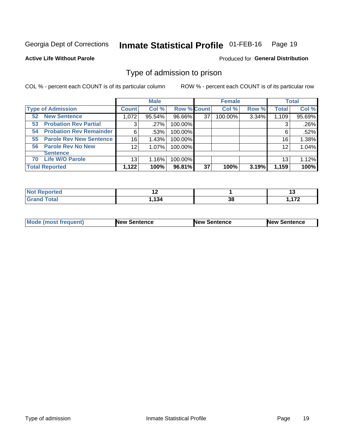#### Inmate Statistical Profile 01-FEB-16 Page 19

**Active Life Without Parole** 

Produced for General Distribution

### Type of admission to prison

COL % - percent each COUNT is of its particular column

|                                      |                 | <b>Male</b> |                    |    | <b>Female</b> |       |              | <b>Total</b> |
|--------------------------------------|-----------------|-------------|--------------------|----|---------------|-------|--------------|--------------|
| <b>Type of Admission</b>             | <b>Count</b>    | Col %       | <b>Row % Count</b> |    | Col %         | Row % | <b>Total</b> | Col %        |
| <b>New Sentence</b><br>52            | 1,072           | 95.54%      | 96.66%             | 37 | 100.00%       | 3.34% | 1,109        | 95.69%       |
| <b>Probation Rev Partial</b><br>53   | 3               | .27%        | 100.00%            |    |               |       | 3            | .26%         |
| <b>Probation Rev Remainder</b><br>54 | 6               | .53%        | 100.00%            |    |               |       | 6            | .52%         |
| <b>Parole Rev New Sentence</b><br>55 | 16              | 1.43%       | 100.00%            |    |               |       | 16           | 1.38%        |
| 56 Parole Rev No New                 | 12 <sub>2</sub> | 1.07%       | 100.00%            |    |               |       | 12           | 1.04%        |
| <b>Sentence</b>                      |                 |             |                    |    |               |       |              |              |
| <b>Life W/O Parole</b><br>70         | 13              | 1.16%       | 100.00%            |    |               |       | 13           | 1.12%        |
| <b>Total Reported</b>                | 1,122           | 100%        | 96.81%             | 37 | 100%          | 3.19% | 1,159        | 100%         |

| Reported<br>NOT F<br>$\sim$ |           |                      | ıw         |
|-----------------------------|-----------|----------------------|------------|
| Total                       | <b>AQ</b> | $\overline{ }$<br>၁၀ | 170<br>. . |

| <b>Mode (most frequent)</b> | <b>New Sentence</b> | <b>New Sentence</b> | <b>New Sentence</b> |
|-----------------------------|---------------------|---------------------|---------------------|
|                             |                     |                     |                     |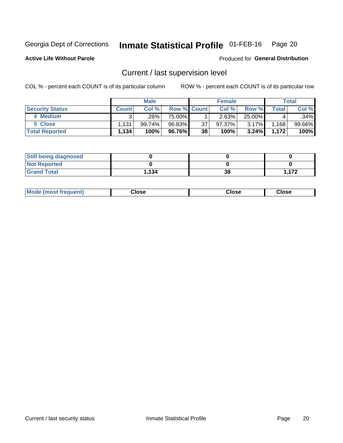## Inmate Statistical Profile 01-FEB-16 Page 20

**Active Life Without Parole** 

Produced for General Distribution

## Current / last supervision level

COL % - percent each COUNT is of its particular column

|                        |              | <b>Male</b> |             |    | <b>Female</b> |          |        | Total  |
|------------------------|--------------|-------------|-------------|----|---------------|----------|--------|--------|
| <b>Security Status</b> | <b>Count</b> | Col%        | Row % Count |    | Col %         | Row %    | Total, | Col %  |
| 4 Medium               |              | .26% '      | 75.00%      |    | 2.63%         | 25.00%   | 4      | .34%   |
| 5 Close                | 1.131        | 99.74%      | 96.83%      | 37 | $97.37\%$     | $3.17\%$ | .168   | 99.66% |
| <b>Total Reported</b>  | 1,134        | 100%        | 96.76%      | 38 | 100%          | 3.24%    | 1.172  | 100%   |

| <b>Still being diagnosed</b> |       |    |      |
|------------------------------|-------|----|------|
| <b>Not Reported</b>          |       |    |      |
| <b>Grand Total</b>           | 1.134 | 38 | .172 |

| <b>Mode (most frequent)</b> | Close | ∵lose | Close |
|-----------------------------|-------|-------|-------|
|                             |       |       |       |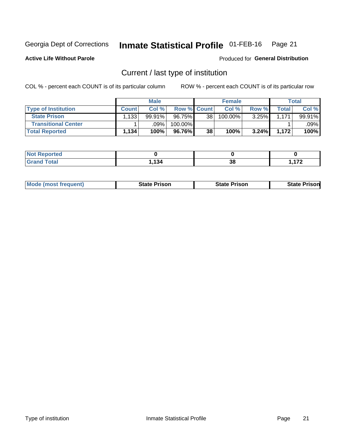#### Inmate Statistical Profile 01-FEB-16 Page 21

**Active Life Without Parole** 

Produced for General Distribution

## Current / last type of institution

COL % - percent each COUNT is of its particular column

|                            |              | <b>Male</b> |             |    | <b>Female</b> |       |              | <b>Total</b> |
|----------------------------|--------------|-------------|-------------|----|---------------|-------|--------------|--------------|
| <b>Type of Institution</b> | <b>Count</b> | Col %       | Row % Count |    | Col %         | Row % | <b>Total</b> | Col %        |
| <b>State Prison</b>        | .133         | $99.91\%$   | $96.75\%$   | 38 | 100.00%       | 3.25% | 1.171        | 99.91%       |
| <b>Transitional Center</b> |              | .09%        | 100.00%     |    |               |       |              | .09% l       |
| <b>Total Reported</b>      | 1,134        | 100%        | 96.76%      | 38 | 100%          | 3.24% | 1.172        | 100%         |

| <b>Reported</b> |       |    |     |
|-----------------|-------|----|-----|
| <b>otal</b>     | 4 O A | າດ | 470 |
|                 | דטו   | ၁၀ | .   |

|  | <b>Mode (most frequent)</b> | State Prison | <b>State Prison</b> | risonl<br>State |
|--|-----------------------------|--------------|---------------------|-----------------|
|--|-----------------------------|--------------|---------------------|-----------------|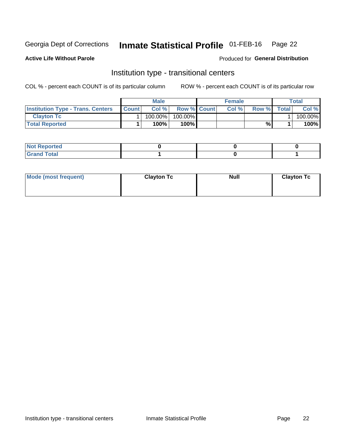#### Inmate Statistical Profile 01-FEB-16 Page 22

**Active Life Without Parole** 

#### Produced for General Distribution

## Institution type - transitional centers

COL % - percent each COUNT is of its particular column

|                                          |              | Male       |                    | <b>Female</b> |       |              | Total   |
|------------------------------------------|--------------|------------|--------------------|---------------|-------|--------------|---------|
| <b>Institution Type - Trans. Centers</b> | <b>Count</b> | Col%       | <b>Row % Count</b> | Col%          | Row % | <b>Total</b> | Col %   |
| <b>Clayton Tc</b>                        |              | $100.00\%$ | 100.00%            |               |       |              | 100.00% |
| <b>Total Reported</b>                    |              | $100\%$    | $100\%$            |               | %     |              | 100%    |

| <b>Not Reported</b>  |  |  |
|----------------------|--|--|
| <b>Total</b><br>r va |  |  |

| Mode (most frequent) | <b>Clayton Tc</b> | <b>Null</b> | <b>Clayton Tc</b> |
|----------------------|-------------------|-------------|-------------------|
|                      |                   |             |                   |
|                      |                   |             |                   |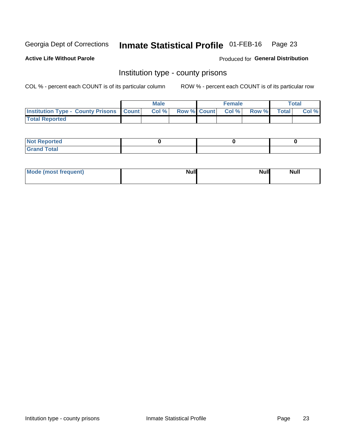## Inmate Statistical Profile 01-FEB-16 Page 23

**Active Life Without Parole** 

Produced for General Distribution

### Institution type - county prisons

COL % - percent each COUNT is of its particular column

|                                                    | <b>Male</b> |  | <b>Female</b>            |             | <b>Total</b> |
|----------------------------------------------------|-------------|--|--------------------------|-------------|--------------|
| <b>Institution Type - County Prisons   Count  </b> | Col %       |  | <b>Row % Count Col %</b> | Row % Total | Col %        |
| <b>Total Reported</b>                              |             |  |                          |             |              |

| <b>Not Reported</b>   |  |  |
|-----------------------|--|--|
| <b>Total</b><br>Granc |  |  |

| Mode (most frequent) | <b>Null</b> | <b>Null</b><br><b>Null</b> |
|----------------------|-------------|----------------------------|
|                      |             |                            |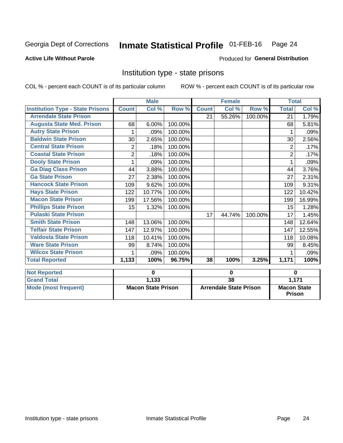#### Inmate Statistical Profile 01-FEB-16 Page 24

### **Active Life Without Parole**

#### Produced for General Distribution

## Institution type - state prisons

COL % - percent each COUNT is of its particular column

|                                         |                | <b>Male</b>               |         |                 | <b>Female</b>                 |         | <b>Total</b>                        |        |
|-----------------------------------------|----------------|---------------------------|---------|-----------------|-------------------------------|---------|-------------------------------------|--------|
| <b>Institution Type - State Prisons</b> | <b>Count</b>   | Col %                     | Row %   | <b>Count</b>    | Col %                         | Row %   | <b>Total</b>                        | Col %  |
| <b>Arrendale State Prison</b>           |                |                           |         | 21              | 55.26%                        | 100.00% | 21                                  | 1.79%  |
| <b>Augusta State Med. Prison</b>        | 68             | 6.00%                     | 100.00% |                 |                               |         | 68                                  | 5.81%  |
| <b>Autry State Prison</b>               | 1              | .09%                      | 100.00% |                 |                               |         | 1                                   | .09%   |
| <b>Baldwin State Prison</b>             | 30             | 2.65%                     | 100.00% |                 |                               |         | 30                                  | 2.56%  |
| <b>Central State Prison</b>             | 2              | .18%                      | 100.00% |                 |                               |         | 2                                   | .17%   |
| <b>Coastal State Prison</b>             | $\overline{2}$ | .18%                      | 100.00% |                 |                               |         | $\overline{2}$                      | .17%   |
| <b>Dooly State Prison</b>               | 1              | .09%                      | 100.00% |                 |                               |         |                                     | .09%   |
| <b>Ga Diag Class Prison</b>             | 44             | 3.88%                     | 100.00% |                 |                               |         | 44                                  | 3.76%  |
| <b>Ga State Prison</b>                  | 27             | 2.38%                     | 100.00% |                 |                               |         | 27                                  | 2.31%  |
| <b>Hancock State Prison</b>             | 109            | 9.62%                     | 100.00% |                 |                               |         | 109                                 | 9.31%  |
| <b>Hays State Prison</b>                | 122            | 10.77%                    | 100.00% |                 |                               |         | 122                                 | 10.42% |
| <b>Macon State Prison</b>               | 199            | 17.56%                    | 100.00% |                 |                               |         | 199                                 | 16.99% |
| <b>Phillips State Prison</b>            | 15             | 1.32%                     | 100.00% |                 |                               |         | 15                                  | 1.28%  |
| <b>Pulaski State Prison</b>             |                |                           |         | 17              | 44.74%                        | 100.00% | 17                                  | 1.45%  |
| <b>Smith State Prison</b>               | 148            | 13.06%                    | 100.00% |                 |                               |         | 148                                 | 12.64% |
| <b>Telfair State Prison</b>             | 147            | 12.97%                    | 100.00% |                 |                               |         | 147                                 | 12.55% |
| <b>Valdosta State Prison</b>            | 118            | 10.41%                    | 100.00% |                 |                               |         | 118                                 | 10.08% |
| <b>Ware State Prison</b>                | 99             | 8.74%                     | 100.00% |                 |                               |         | 99                                  | 8.45%  |
| <b>Wilcox State Prison</b>              | 1              | .09%                      | 100.00% |                 |                               |         | 1                                   | .09%   |
| <b>Total Reported</b>                   | 1,133          | 100%                      | 96.75%  | 38              | 100%                          | 3.25%   | 1,171                               | 100%   |
| <b>Not Reported</b>                     |                | 0                         |         | $\bf{0}$        |                               |         | $\bf{0}$                            |        |
| <b>Grand Total</b>                      |                | 1,133                     |         | $\overline{38}$ |                               | 1,171   |                                     |        |
| <b>Mode (most frequent)</b>             |                | <b>Macon State Prison</b> |         |                 | <b>Arrendale State Prison</b> |         | <b>Macon State</b><br><b>Prison</b> |        |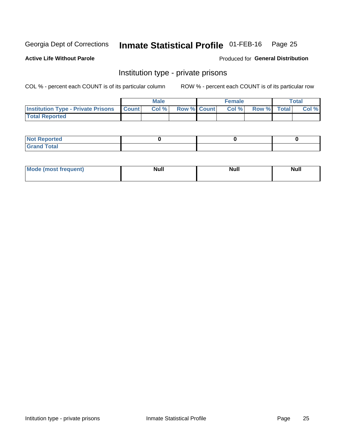## Inmate Statistical Profile 01-FEB-16 Page 25

#### **Active Life Without Parole**

#### Produced for General Distribution

## Institution type - private prisons

COL % - percent each COUNT is of its particular column

|                                                 | <b>Male</b> |                    | <b>Female</b> |             | Total |
|-------------------------------------------------|-------------|--------------------|---------------|-------------|-------|
| <b>Institution Type - Private Prisons Count</b> | Col %       | <b>Row % Count</b> | Col %         | Row % Total | Col % |
| <b>Total Reported</b>                           |             |                    |               |             |       |

| Not Reported           |  |  |
|------------------------|--|--|
| <b>Cotal</b><br>______ |  |  |

| <b>Mo</b><br>frequent) | <b>Null</b> | <b>Null</b> | . . I *<br><b>IVUII</b> |
|------------------------|-------------|-------------|-------------------------|
|                        |             |             |                         |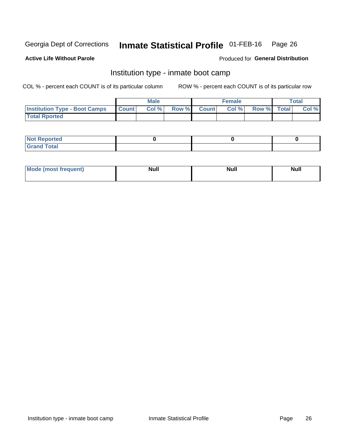#### Inmate Statistical Profile 01-FEB-16 Page 26

#### **Active Life Without Parole**

### Produced for General Distribution

## Institution type - inmate boot camp

COL % - percent each COUNT is of its particular column

|                                      |              | <b>Male</b> |               |              | <b>Female</b> |             | <b>Total</b> |
|--------------------------------------|--------------|-------------|---------------|--------------|---------------|-------------|--------------|
| <b>Institution Type - Boot Camps</b> | <b>Count</b> | Col %       | <b>Row %I</b> | <b>Count</b> | Col %         | Row % Total | Col %        |
| <b>Total Rported</b>                 |              |             |               |              |               |             |              |

| <b>Not Reported</b>            |  |  |
|--------------------------------|--|--|
| <b>Total</b><br>C <sub>r</sub> |  |  |

| Mod<br>uamo | Nul.<br>$- - - - - -$ | <b>Null</b> | . .<br>uu.<br>------ |
|-------------|-----------------------|-------------|----------------------|
|             |                       |             |                      |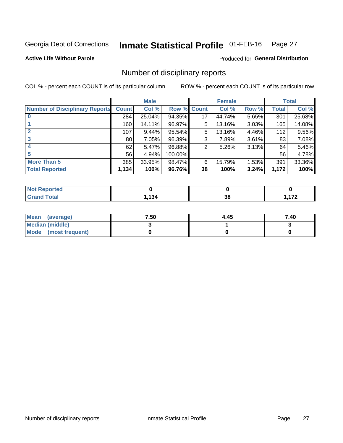#### Inmate Statistical Profile 01-FEB-16 Page 27

**Active Life Without Parole** 

Produced for General Distribution

### Number of disciplinary reports

COL % - percent each COUNT is of its particular column

|                                       |              | <b>Male</b> |                    |    | <b>Female</b> |          |                 | <b>Total</b> |
|---------------------------------------|--------------|-------------|--------------------|----|---------------|----------|-----------------|--------------|
| <b>Number of Disciplinary Reports</b> | <b>Count</b> | Col %       | <b>Row % Count</b> |    | Col %         | Row %    | Total           | Col %        |
|                                       | 284          | 25.04%      | 94.35%             | 17 | 44.74%        | $5.65\%$ | 301             | 25.68%       |
|                                       | 160          | 14.11%      | 96.97%             | 5  | 13.16%        | 3.03%    | 165             | 14.08%       |
|                                       | 107          | 9.44%       | 95.54%             | 5  | 13.16%        | 4.46%    | 112             | 9.56%        |
| 3                                     | 80           | 7.05%       | 96.39%             | 3  | 7.89%         | $3.61\%$ | 83              | 7.08%        |
|                                       | 62           | 5.47%       | 96.88%             | 2  | 5.26%         | 3.13%    | 64              | 5.46%        |
| 5                                     | 56           | 4.94%       | 100.00%            |    |               |          | 56 <sup>1</sup> | 4.78%        |
| <b>More Than 5</b>                    | 385          | 33.95%      | 98.47%             | 6  | 15.79%        | 1.53%    | 391             | 33.36%       |
| <b>Total Reported</b>                 | 1,134        | 100%        | 96.76%             | 38 | 100%          | 3.24%    | 1,172           | 100%         |

| ted<br>NO    |     |          |    |
|--------------|-----|----------|----|
| <b>Total</b> | 134 | 20<br>აი | ית |

| Mean (average)       | 7.50 | 4.45 | 7.40 |
|----------------------|------|------|------|
| Median (middle)      |      |      |      |
| Mode (most frequent) |      |      |      |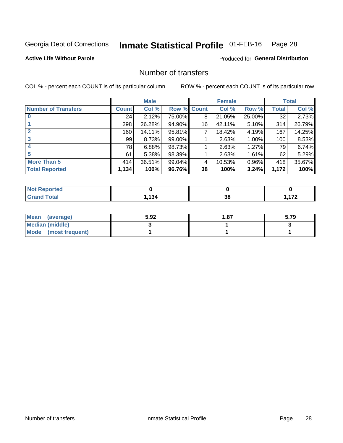#### Inmate Statistical Profile 01-FEB-16 Page 28

**Active Life Without Parole** 

**Produced for General Distribution** 

## Number of transfers

COL % - percent each COUNT is of its particular column

|                            |              | <b>Male</b> |             |    | <b>Female</b> |          |              | <b>Total</b> |
|----------------------------|--------------|-------------|-------------|----|---------------|----------|--------------|--------------|
| <b>Number of Transfers</b> | <b>Count</b> | Col %       | Row % Count |    | Col %         | Row %    | <b>Total</b> | Col %        |
|                            | 24           | 2.12%       | 75.00%      | 8  | 21.05%        | 25.00%   | 32           | 2.73%        |
|                            | 298          | 26.28%      | 94.90%      | 16 | 42.11%        | 5.10%    | 314          | 26.79%       |
| $\mathbf{2}$               | 160          | 14.11%      | 95.81%      | 7  | 18.42%        | 4.19%    | 167          | 14.25%       |
| 3                          | 99           | 8.73%       | 99.00%      |    | 2.63%         | 1.00%    | 100          | 8.53%        |
|                            | 78           | 6.88%       | 98.73%      |    | 2.63%         | 1.27%    | 79           | 6.74%        |
| 5                          | 61           | 5.38%       | 98.39%      |    | 2.63%         | $1.61\%$ | 62           | 5.29%        |
| <b>More Than 5</b>         | 414          | 36.51%      | 99.04%      | 4  | 10.53%        | 0.96%    | 418          | 35.67%       |
| <b>Total Reported</b>      | 1,134        | 100%        | 96.76%      | 38 | 100%          | 3.24%    | 1,172        | 100%         |

| NO.<br>кно |     |    |                 |
|------------|-----|----|-----------------|
| Гоtal      | 134 | 38 | ィラヘ<br>$\cdots$ |

| Mean (average)       | 5.92 | 1.87 | 5.79 |
|----------------------|------|------|------|
| Median (middle)      |      |      |      |
| Mode (most frequent) |      |      |      |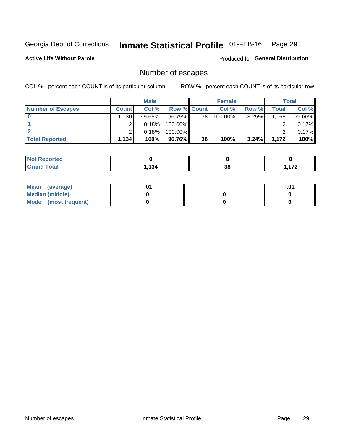## Inmate Statistical Profile 01-FEB-16 Page 29

**Active Life Without Parole** 

Produced for General Distribution

## Number of escapes

COL % - percent each COUNT is of its particular column

|                          |                  | <b>Male</b> |                    |                 | <b>Female</b> |          |       | Total  |
|--------------------------|------------------|-------------|--------------------|-----------------|---------------|----------|-------|--------|
| <b>Number of Escapes</b> | <b>Count</b>     | Col %       | <b>Row % Count</b> |                 | Col %         | Row %    | Total | Col %  |
|                          | 130 <sup>1</sup> | $99.65\%$   | 96.75%             | 38 <sub>1</sub> | $100.00\%$    | 3.25%    | 1,168 | 99.66% |
|                          |                  | 0.18%       | 100.00%            |                 |               |          |       | 0.17%  |
|                          |                  | 0.18%       | $100.00\%$         |                 |               |          |       | 0.17%  |
| <b>Total Reported</b>    | 1,134            | 100%        | 96.76%I            | 38              | 100%          | $3.24\%$ | 1.172 | 100%   |

| <b>Not Reported</b> |      |    |               |
|---------------------|------|----|---------------|
| Total<br>C-r        | .134 | 38 | 170<br>.<br>. |

| Mean (average)       |  | י ש |
|----------------------|--|-----|
| Median (middle)      |  |     |
| Mode (most frequent) |  |     |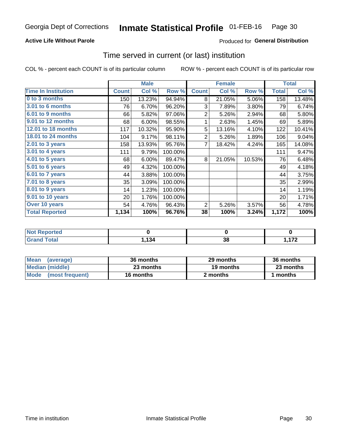### **Active Life Without Parole**

### **Produced for General Distribution**

### Time served in current (or last) institution

COL % - percent each COUNT is of its particular column

|                              |              | <b>Male</b> |         |                | <b>Female</b> |        |              | <b>Total</b> |
|------------------------------|--------------|-------------|---------|----------------|---------------|--------|--------------|--------------|
| <b>Time In Institution</b>   | <b>Count</b> | Col %       | Row %   | <b>Count</b>   | Col %         | Row %  | <b>Total</b> | Col %        |
| 0 to 3 months                | 150          | 13.23%      | 94.94%  | 8              | 21.05%        | 5.06%  | 158          | 13.48%       |
| <b>3.01 to 6 months</b>      | 76           | 6.70%       | 96.20%  | 3              | 7.89%         | 3.80%  | 79           | 6.74%        |
| 6.01 to 9 months             | 66           | 5.82%       | 97.06%  | $\overline{2}$ | 5.26%         | 2.94%  | 68           | 5.80%        |
| 9.01 to 12 months            | 68           | 6.00%       | 98.55%  | 1              | 2.63%         | 1.45%  | 69           | 5.89%        |
| <b>12.01 to 18 months</b>    | 117          | 10.32%      | 95.90%  | 5              | 13.16%        | 4.10%  | 122          | 10.41%       |
| <b>18.01 to 24 months</b>    | 104          | 9.17%       | 98.11%  | $\overline{2}$ | 5.26%         | 1.89%  | 106          | 9.04%        |
| $2.01$ to 3 years            | 158          | 13.93%      | 95.76%  | 7              | 18.42%        | 4.24%  | 165          | 14.08%       |
| 3.01 to 4 years              | 111          | 9.79%       | 100.00% |                |               |        | 111          | 9.47%        |
| $4.01$ to 5 years            | 68           | 6.00%       | 89.47%  | 8              | 21.05%        | 10.53% | 76           | 6.48%        |
| $\overline{5.01}$ to 6 years | 49           | 4.32%       | 100.00% |                |               |        | 49           | 4.18%        |
| 6.01 to 7 years              | 44           | 3.88%       | 100.00% |                |               |        | 44           | 3.75%        |
| $7.01$ to 8 years            | 35           | 3.09%       | 100.00% |                |               |        | 35           | 2.99%        |
| 8.01 to 9 years              | 14           | 1.23%       | 100.00% |                |               |        | 14           | 1.19%        |
| 9.01 to 10 years             | 20           | 1.76%       | 100.00% |                |               |        | 20           | 1.71%        |
| Over 10 years                | 54           | 4.76%       | 96.43%  | 2              | 5.26%         | 3.57%  | 56           | 4.78%        |
| <b>Total Reported</b>        | 1,134        | 100%        | 96.76%  | 38             | 100%          | 3.24%  | 1,172        | 100%         |

| <b>Not Reported</b>     |       |    |     |
|-------------------------|-------|----|-----|
| <b>Total</b><br>. Gran: | 1,134 | 38 | ィフヘ |

| <b>Mean</b><br>(average) | 36 months | 29 months | 36 months |
|--------------------------|-----------|-----------|-----------|
| Median (middle)          | 23 months | 19 months | 23 months |
| Mode (most frequent)     | 16 months | 2 months  | 1 months  |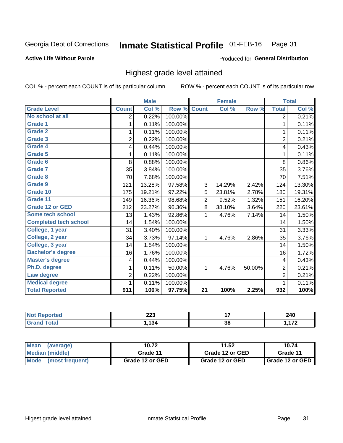#### Inmate Statistical Profile 01-FEB-16 Page 31

#### **Active Life Without Parole**

#### Produced for General Distribution

### Highest grade level attained

COL % - percent each COUNT is of its particular column

|                              |                          | <b>Male</b> |         |                 | <b>Female</b> |        |                | <b>Total</b> |
|------------------------------|--------------------------|-------------|---------|-----------------|---------------|--------|----------------|--------------|
| <b>Grade Level</b>           | <b>Count</b>             | Col %       | Row %   | <b>Count</b>    | Col %         | Row %  | <b>Total</b>   | Col %        |
| No school at all             | $\overline{2}$           | 0.22%       | 100.00% |                 |               |        | 2              | 0.21%        |
| <b>Grade 1</b>               | 1                        | 0.11%       | 100.00% |                 |               |        | 1              | 0.11%        |
| <b>Grade 2</b>               | 1                        | 0.11%       | 100.00% |                 |               |        | $\mathbf{1}$   | 0.11%        |
| Grade 3                      | $\overline{2}$           | 0.22%       | 100.00% |                 |               |        | $\overline{2}$ | 0.21%        |
| Grade 4                      | 4                        | 0.44%       | 100.00% |                 |               |        | 4              | 0.43%        |
| Grade 5                      | 1                        | 0.11%       | 100.00% |                 |               |        | 1              | 0.11%        |
| Grade 6                      | 8                        | 0.88%       | 100.00% |                 |               |        | 8              | 0.86%        |
| <b>Grade 7</b>               | 35                       | 3.84%       | 100.00% |                 |               |        | 35             | 3.76%        |
| Grade 8                      | 70                       | 7.68%       | 100.00% |                 |               |        | 70             | 7.51%        |
| Grade 9                      | 121                      | 13.28%      | 97.58%  | 3               | 14.29%        | 2.42%  | 124            | 13.30%       |
| Grade 10                     | 175                      | 19.21%      | 97.22%  | 5               | 23.81%        | 2.78%  | 180            | 19.31%       |
| Grade 11                     | 149                      | 16.36%      | 98.68%  | $\overline{2}$  | 9.52%         | 1.32%  | 151            | 16.20%       |
| <b>Grade 12 or GED</b>       | 212                      | 23.27%      | 96.36%  | 8               | 38.10%        | 3.64%  | 220            | 23.61%       |
| <b>Some tech school</b>      | 13                       | 1.43%       | 92.86%  | 1               | 4.76%         | 7.14%  | 14             | 1.50%        |
| <b>Completed tech school</b> | 14                       | 1.54%       | 100.00% |                 |               |        | 14             | 1.50%        |
| College, 1 year              | 31                       | 3.40%       | 100.00% |                 |               |        | 31             | 3.33%        |
| College, 2 year              | 34                       | 3.73%       | 97.14%  | 1               | 4.76%         | 2.86%  | 35             | 3.76%        |
| College, 3 year              | 14                       | 1.54%       | 100.00% |                 |               |        | 14             | 1.50%        |
| <b>Bachelor's degree</b>     | 16                       | 1.76%       | 100.00% |                 |               |        | 16             | 1.72%        |
| <b>Master's degree</b>       | $\overline{\mathcal{A}}$ | 0.44%       | 100.00% |                 |               |        | 4              | 0.43%        |
| Ph.D. degree                 | 1                        | 0.11%       | 50.00%  | 1               | 4.76%         | 50.00% | $\overline{c}$ | 0.21%        |
| Law degree                   | 2                        | 0.22%       | 100.00% |                 |               |        | $\overline{c}$ | 0.21%        |
| <b>Medical degree</b>        | 1                        | 0.11%       | 100.00% |                 |               |        | 1              | 0.11%        |
| <b>Total Reported</b>        | 911                      | 100%        | 97.75%  | $\overline{21}$ | 100%          | 2.25%  | 932            | 100%         |

| <b>TTAO</b> | ິດດາ<br>ZZJ |    | 240           |
|-------------|-------------|----|---------------|
|             | 134         | 38 | ---<br>.<br>. |

| <b>Mean</b><br>(average)       | 10.72           | 11.52           | 10.74             |
|--------------------------------|-----------------|-----------------|-------------------|
| Median (middle)                | Grade 11        | Grade 12 or GED | Grade 11          |
| <b>Mode</b><br>(most frequent) | Grade 12 or GED | Grade 12 or GED | I Grade 12 or GED |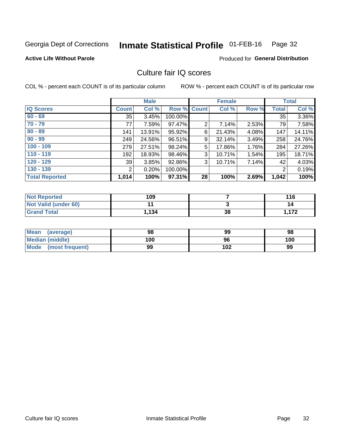#### Inmate Statistical Profile 01-FEB-16 Page 32

#### **Active Life Without Parole**

### **Produced for General Distribution**

## Culture fair IQ scores

COL % - percent each COUNT is of its particular column

|                       |              | <b>Male</b> |                    |                | <b>Female</b> |       |              | <b>Total</b> |
|-----------------------|--------------|-------------|--------------------|----------------|---------------|-------|--------------|--------------|
| <b>IQ Scores</b>      | <b>Count</b> | Col %       | <b>Row % Count</b> |                | Col %         | Row % | <b>Total</b> | Col %        |
| $60 - 69$             | 35           | 3.45%       | 100.00%            |                |               |       | 35           | 3.36%        |
| $70 - 79$             | 77           | 7.59%       | 97.47%             | $\overline{2}$ | 7.14%         | 2.53% | 79           | 7.58%        |
| $80 - 89$             | 141          | 13.91%      | 95.92%             | 6              | 21.43%        | 4.08% | 147          | 14.11%       |
| $90 - 99$             | 249          | 24.56%      | 96.51%             | 9              | 32.14%        | 3.49% | 258          | 24.76%       |
| $100 - 109$           | 279          | 27.51%      | 98.24%             | 5              | 17.86%        | 1.76% | 284          | 27.26%       |
| $110 - 119$           | 192          | 18.93%      | 98.46%             | 3              | 10.71%        | 1.54% | 195          | 18.71%       |
| $120 - 129$           | 39           | 3.85%       | 92.86%             | 3              | 10.71%        | 7.14% | 42           | 4.03%        |
| $130 - 139$           | 2            | 0.20%       | 100.00%            |                |               |       | 2            | 0.19%        |
| <b>Total Reported</b> | 1,014        | 100%        | 97.31%             | 28             | 100%          | 2.69% | 1,042        | 100%         |

| <b>Not Reported</b>  | 109   |    | 116  |
|----------------------|-------|----|------|
| Not Valid (under 60) |       |    | 14   |
| <b>Grand Total</b>   | 1,134 | 38 | .172 |

| <b>Mean</b><br>(average) | 98  | 99  | 98  |
|--------------------------|-----|-----|-----|
| Median (middle)          | 100 | 96  | 100 |
| Mode (most frequent)     | 99  | 102 | 99  |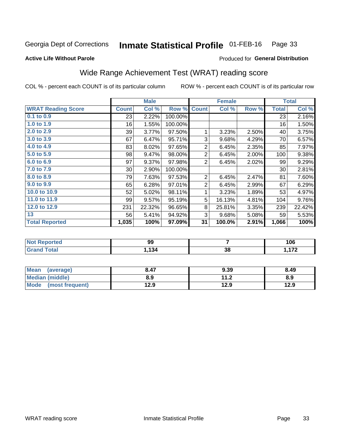#### Inmate Statistical Profile 01-FEB-16 Page 33

#### **Active Life Without Parole**

### Produced for General Distribution

## Wide Range Achievement Test (WRAT) reading score

COL % - percent each COUNT is of its particular column

|                           |                 | <b>Male</b> |         |                | <b>Female</b> |       |              | <b>Total</b> |
|---------------------------|-----------------|-------------|---------|----------------|---------------|-------|--------------|--------------|
| <b>WRAT Reading Score</b> | <b>Count</b>    | Col %       | Row %   | <b>Count</b>   | Col %         | Row % | <b>Total</b> | Col %        |
| 0.1 to 0.9                | 23              | 2.22%       | 100.00% |                |               |       | 23           | 2.16%        |
| 1.0 to 1.9                | 16              | 1.55%       | 100.00% |                |               |       | 16           | 1.50%        |
| 2.0 to 2.9                | 39              | 3.77%       | 97.50%  | 1              | 3.23%         | 2.50% | 40           | 3.75%        |
| 3.0 to 3.9                | 67              | 6.47%       | 95.71%  | 3              | 9.68%         | 4.29% | 70           | 6.57%        |
| 4.0 to 4.9                | 83              | 8.02%       | 97.65%  | $\overline{2}$ | 6.45%         | 2.35% | 85           | 7.97%        |
| 5.0 to 5.9                | 98              | 9.47%       | 98.00%  | $\overline{2}$ | 6.45%         | 2.00% | 100          | 9.38%        |
| 6.0 to 6.9                | 97              | 9.37%       | 97.98%  | $\overline{2}$ | 6.45%         | 2.02% | 99           | 9.29%        |
| 7.0 to 7.9                | 30 <sup>°</sup> | 2.90%       | 100.00% |                |               |       | 30           | 2.81%        |
| 8.0 to 8.9                | 79              | 7.63%       | 97.53%  | $\overline{2}$ | 6.45%         | 2.47% | 81           | 7.60%        |
| 9.0 to 9.9                | 65              | 6.28%       | 97.01%  | $\overline{2}$ | 6.45%         | 2.99% | 67           | 6.29%        |
| 10.0 to 10.9              | 52              | 5.02%       | 98.11%  | 1              | 3.23%         | 1.89% | 53           | 4.97%        |
| 11.0 to 11.9              | 99              | 9.57%       | 95.19%  | 5              | 16.13%        | 4.81% | 104          | 9.76%        |
| 12.0 to 12.9              | 231             | 22.32%      | 96.65%  | 8              | 25.81%        | 3.35% | 239          | 22.42%       |
| 13                        | 56              | 5.41%       | 94.92%  | 3              | 9.68%         | 5.08% | 59           | 5.53%        |
| <b>Total Reported</b>     | 1,035           | 100%        | 97.09%  | 31             | 100.0%        | 2.91% | 1,066        | 100%         |
|                           |                 |             |         |                |               |       |              |              |

| <b>Not Reported</b> | 99   |    | 106 |
|---------------------|------|----|-----|
| <b>Grand Total</b>  | .134 | 38 | 170 |

| <b>Mean</b><br>(average)       | 8.47 | 9.39                     | 8.49 |
|--------------------------------|------|--------------------------|------|
| <b>Median (middle)</b>         | 8.9  | 11 <sub>2</sub><br>. . Z | 8.9  |
| <b>Mode</b><br>(most frequent) | 12.9 | 12.9                     | 12.9 |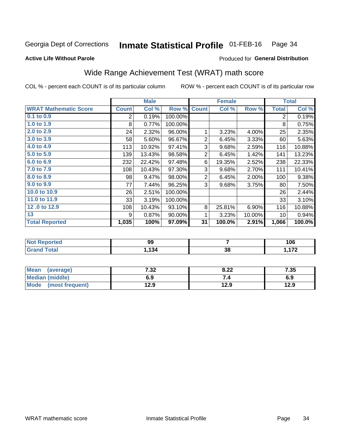#### Inmate Statistical Profile 01-FEB-16 Page 34

### **Active Life Without Parole**

## Produced for General Distribution

## Wide Range Achievement Test (WRAT) math score

COL % - percent each COUNT is of its particular column

|                              |                |        |         |                | <b>Female</b> |          |                | <b>Total</b> |
|------------------------------|----------------|--------|---------|----------------|---------------|----------|----------------|--------------|
| <b>WRAT Mathematic Score</b> | <b>Count</b>   | Col %  | Row %   | <b>Count</b>   | Col %         | Row %    | <b>Total</b>   | Col %        |
| 0.1 to 0.9                   | $\overline{2}$ | 0.19%  | 100.00% |                |               |          | $\overline{2}$ | 0.19%        |
| 1.0 to 1.9                   | 8              | 0.77%  | 100.00% |                |               |          | 8              | 0.75%        |
| 2.0 to 2.9                   | 24             | 2.32%  | 96.00%  | 1              | 3.23%         | 4.00%    | 25             | 2.35%        |
| 3.0 to 3.9                   | 58             | 5.60%  | 96.67%  | $\overline{2}$ | 6.45%         | 3.33%    | 60             | 5.63%        |
| 4.0 to 4.9                   | 113            | 10.92% | 97.41%  | 3              | 9.68%         | 2.59%    | 116            | 10.88%       |
| 5.0 to 5.9                   | 139            | 13.43% | 98.58%  | $\overline{2}$ | 6.45%         | 1.42%    | 141            | 13.23%       |
| 6.0 to 6.9                   | 232            | 22.42% | 97.48%  | 6              | 19.35%        | 2.52%    | 238            | 22.33%       |
| 7.0 to 7.9                   | 108            | 10.43% | 97.30%  | 3              | 9.68%         | 2.70%    | 111            | 10.41%       |
| 8.0 to 8.9                   | 98             | 9.47%  | 98.00%  | $\overline{2}$ | 6.45%         | $2.00\%$ | 100            | 9.38%        |
| 9.0 to 9.9                   | 77             | 7.44%  | 96.25%  | 3              | 9.68%         | 3.75%    | 80             | 7.50%        |
| 10.0 to 10.9                 | 26             | 2.51%  | 100.00% |                |               |          | 26             | 2.44%        |
| 11.0 to 11.9                 | 33             | 3.19%  | 100.00% |                |               |          | 33             | 3.10%        |
| 12.0 to 12.9                 | 108            | 10.43% | 93.10%  | 8              | 25.81%        | 6.90%    | 116            | 10.88%       |
| 13                           | 9              | 0.87%  | 90.00%  | 1              | 3.23%         | 10.00%   | 10             | 0.94%        |
| <b>Total Reported</b>        | 1,035          | 100%   | 97.09%  | 31             | 100.0%        | 2.91%    | 1,066          | 100.0%       |

| <b>Not Reported</b>    | 99   |    | 106 |
|------------------------|------|----|-----|
| <b>Total</b><br>'Grand | .134 | 38 | 170 |

| <b>Mean</b><br>(average)       | 7 22<br>7د.∶ | 8.22 | 7.35 |
|--------------------------------|--------------|------|------|
| Median (middle)                | 6.9          |      | 6.9  |
| <b>Mode</b><br>(most frequent) | 12.9         | 12.9 | 12.9 |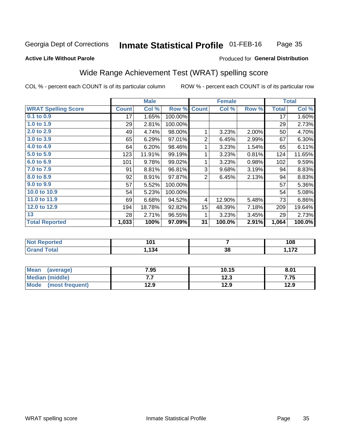#### **Inmate Statistical Profile 01-FEB-16** Page 35

#### **Active Life Without Parole**

### Produced for General Distribution

## Wide Range Achievement Test (WRAT) spelling score

COL % - percent each COUNT is of its particular column

|                            |              | <b>Male</b> |         |                  | <b>Female</b>  |       |              | <b>Total</b> |
|----------------------------|--------------|-------------|---------|------------------|----------------|-------|--------------|--------------|
| <b>WRAT Spelling Score</b> | <b>Count</b> | Col %       | Row %   | <b>Count</b>     | Col %          | Row % | <b>Total</b> | Col %        |
| $0.1$ to $0.9$             | 17           | 1.65%       | 100.00% |                  |                |       | 17           | 1.60%        |
| 1.0 to 1.9                 | 29           | 2.81%       | 100.00% |                  |                |       | 29           | 2.73%        |
| 2.0 to 2.9                 | 49           | 4.74%       | 98.00%  | 1                | 3.23%          | 2.00% | 50           | 4.70%        |
| 3.0 to 3.9                 | 65           | 6.29%       | 97.01%  | $\overline{2}$   | 6.45%          | 2.99% | 67           | 6.30%        |
| 4.0 to 4.9                 | 64           | 6.20%       | 98.46%  | 1                | 3.23%          | 1.54% | 65           | 6.11%        |
| 5.0 to 5.9                 | 123          | 11.91%      | 99.19%  | 1                | 3.23%          | 0.81% | 124          | 11.65%       |
| 6.0 to 6.9                 | 101          | 9.78%       | 99.02%  | 1                | 3.23%          | 0.98% | 102          | 9.59%        |
| 7.0 to 7.9                 | 91           | 8.81%       | 96.81%  | 3                | 9.68%          | 3.19% | 94           | 8.83%        |
| 8.0 to 8.9                 | 92           | 8.91%       | 97.87%  | $\overline{2}$   | 6.45%          | 2.13% | 94           | 8.83%        |
| 9.0 to 9.9                 | 57           | 5.52%       | 100.00% |                  |                |       | 57           | 5.36%        |
| 10.0 to 10.9               | 54           | 5.23%       | 100.00% |                  |                |       | 54           | 5.08%        |
| 11.0 to 11.9               | 69           | 6.68%       | 94.52%  | 4                | 12.90%         | 5.48% | 73           | 6.86%        |
| 12.0 to 12.9               | 194          | 18.78%      | 92.82%  | 15 <sub>15</sub> | 48.39%         | 7.18% | 209          | 19.64%       |
| 13                         | 28           | 2.71%       | 96.55%  | 1                | 3.23%          | 3.45% | 29           | 2.73%        |
| <b>Total Reported</b>      | 1,033        | 100%        | 97.09%  | 31               | 100.0%         | 2.91% | 1,064        | 100.0%       |
|                            |              |             |         |                  |                |       |              |              |
| Not Reported               |              | 101         |         |                  | $\overline{ }$ |       |              | 108          |

| .<br>rtea<br>NO<br>$\sim$ | .    |    | -----<br>ט ו |
|---------------------------|------|----|--------------|
| υιαι<br>----              | .134 | 38 | ---<br>. .   |
|                           |      |    |              |

| <b>Mean</b><br>(average)       | 7.95 | 10.15       | 8.01 |
|--------------------------------|------|-------------|------|
| Median (middle)                | .    | 123<br>12.J | 7.75 |
| <b>Mode</b><br>(most frequent) | 12.9 | 12.9        | 12.9 |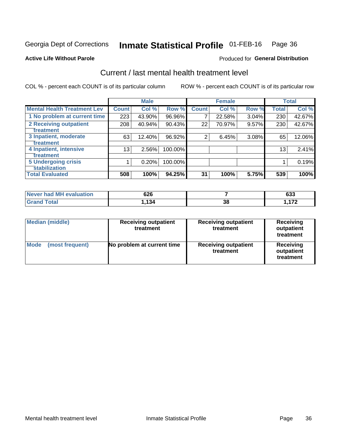#### Inmate Statistical Profile 01-FEB-16 Page 36

### **Active Life Without Parole**

### Produced for General Distribution

## Current / last mental health treatment level

COL % - percent each COUNT is of its particular column

|                                    |              | <b>Male</b> |         |              | <b>Female</b> |       |                 | <b>Total</b> |
|------------------------------------|--------------|-------------|---------|--------------|---------------|-------|-----------------|--------------|
| <b>Mental Health Treatment Lev</b> | <b>Count</b> | Col %       | Row %   | <b>Count</b> | Col %         | Row % | <b>Total</b>    | Col %        |
| 1 No problem at current time       | 223          | 43.90%      | 96.96%  | 7            | 22.58%        | 3.04% | 230             | 42.67%       |
| <b>2 Receiving outpatient</b>      | 208          | 40.94%      | 90.43%  | 22           | 70.97%        | 9.57% | 230             | 42.67%       |
| <b>Treatment</b>                   |              |             |         |              |               |       |                 |              |
| 3 Inpatient, moderate              | 63           | 12.40%      | 96.92%  | 2            | 6.45%         | 3.08% | 65              | 12.06%       |
| Treatment                          |              |             |         |              |               |       |                 |              |
| 4 Inpatient, intensive             | 13           | 2.56%       | 100.00% |              |               |       | 13 <sub>1</sub> | 2.41%        |
| Treatment                          |              |             |         |              |               |       |                 |              |
| <b>5 Undergoing crisis</b>         |              | 0.20%       | 100.00% |              |               |       |                 | 0.19%        |
| <b>stabilization</b>               |              |             |         |              |               |       |                 |              |
| <b>Total Evaluated</b>             | 508          | 100%        | 94.25%  | 31           | 100%          | 5.75% | 539             | 100%         |

| <b>evaluation</b><br>'Never had MF | 626   |    | $\sim$<br>ნათ |
|------------------------------------|-------|----|---------------|
| $f$ otol                           | 1,134 | 38 | ィラヘ           |

| <b>Median (middle)</b>  | <b>Receiving outpatient</b><br>treatment | <b>Receiving outpatient</b><br>treatment | <b>Receiving</b><br>outpatient<br>treatment |  |  |
|-------------------------|------------------------------------------|------------------------------------------|---------------------------------------------|--|--|
| Mode<br>(most frequent) | No problem at current time               | <b>Receiving outpatient</b><br>treatment | <b>Receiving</b><br>outpatient<br>treatment |  |  |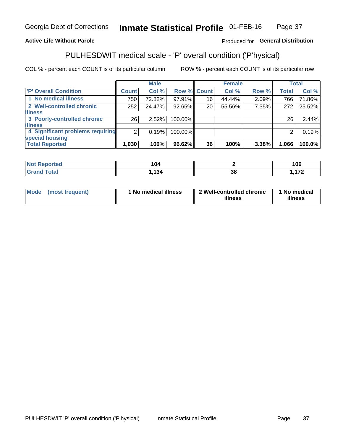#### **Inmate Statistical Profile 01-FEB-16** Page 37

### **Active Life Without Parole**

### Produced for General Distribution

## PULHESDWIT medical scale - 'P' overall condition ('P'hysical)

COL % - percent each COUNT is of its particular column

|                                  |                | <b>Male</b> |         |                    | <b>Female</b> |       |              | <b>Total</b> |
|----------------------------------|----------------|-------------|---------|--------------------|---------------|-------|--------------|--------------|
| 'P' Overall Condition            | Count l        | Col %       |         | <b>Row % Count</b> | Col %         | Row % | <b>Total</b> | Col %        |
| 1 No medical illness             | 750            | 72.82%      | 97.91%  | 16                 | 44.44%        | 2.09% | 766          | 71.86%       |
| 2 Well-controlled chronic        | 252            | 24.47%      | 92.65%  | 20                 | 55.56%        | 7.35% | 272          | 25.52%       |
| <b>lillness</b>                  |                |             |         |                    |               |       |              |              |
| 3 Poorly-controlled chronic      | 26             | $2.52\%$    | 100.00% |                    |               |       | 26           | 2.44%        |
| <b>illness</b>                   |                |             |         |                    |               |       |              |              |
| 4 Significant problems requiring | 2 <sub>1</sub> | 0.19%       | 100.00% |                    |               |       | 2            | 0.19%        |
| special housing                  |                |             |         |                    |               |       |              |              |
| <b>Total Reported</b>            | 1,030          | 100%        | 96.62%  | 36                 | 100%          | 3.38% | 1,066        | 100.0%       |

| raa    | $\sim$          |    | 1 M C |
|--------|-----------------|----|-------|
| $\sim$ | I V4            |    | טט    |
| _____  | $\overline{10}$ | эc | $ -$  |

| Mode | (most frequent) | No medical illness | 2 Well-controlled chronic<br>illness | 1 No medical<br>illness |
|------|-----------------|--------------------|--------------------------------------|-------------------------|
|------|-----------------|--------------------|--------------------------------------|-------------------------|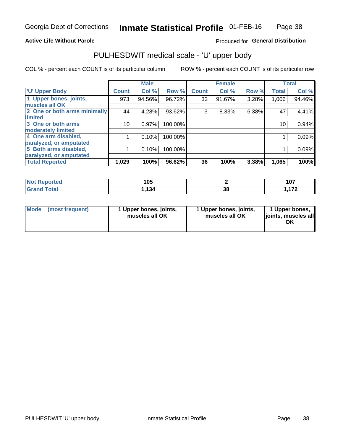### **Active Life Without Parole**

### Produced for General Distribution

## PULHESDWIT medical scale - 'U' upper body

COL % - percent each COUNT is of its particular column

|                              |              | <b>Male</b> |         |              | <b>Female</b> |       |              | <b>Total</b> |
|------------------------------|--------------|-------------|---------|--------------|---------------|-------|--------------|--------------|
| <b>U' Upper Body</b>         | <b>Count</b> | Col %       | Row %   | <b>Count</b> | Col %         | Row % | <b>Total</b> | Col %        |
| 1 Upper bones, joints,       | 973          | 94.56%      | 96.72%  | 33           | 91.67%        | 3.28% | 1,006        | 94.46%       |
| muscles all OK               |              |             |         |              |               |       |              |              |
| 2 One or both arms minimally | 44           | 4.28%       | 93.62%  | 3            | 8.33%         | 6.38% | 47           | 4.41%        |
| limited                      |              |             |         |              |               |       |              |              |
| 3 One or both arms           | 10           | 0.97%       | 100.00% |              |               |       | 10           | 0.94%        |
| <b>moderately limited</b>    |              |             |         |              |               |       |              |              |
| 4 One arm disabled,          |              | 0.10%       | 100.00% |              |               |       |              | 0.09%        |
| paralyzed, or amputated      |              |             |         |              |               |       |              |              |
| 5 Both arms disabled,        |              | 0.10%       | 100.00% |              |               |       |              | 0.09%        |
| paralyzed, or amputated      |              |             |         |              |               |       |              |              |
| <b>Total Reported</b>        | 1,029        | 100%        | 96.62%  | 36           | 100%          | 3.38% | 1,065        | 100%         |

| <b>Not Reported</b> | 105   |    | $10-1$<br>י ט ו |
|---------------------|-------|----|-----------------|
| <b>Grand Total</b>  | 494   | 38 | 170             |
| Grand               | 54. ا |    |                 |

| Mode (most frequent) | 1 Upper bones, joints,<br>muscles all OK | 1 Upper bones, joints,<br>muscles all OK | 1 Upper bones,<br>joints, muscles all<br>ΟK |
|----------------------|------------------------------------------|------------------------------------------|---------------------------------------------|
|----------------------|------------------------------------------|------------------------------------------|---------------------------------------------|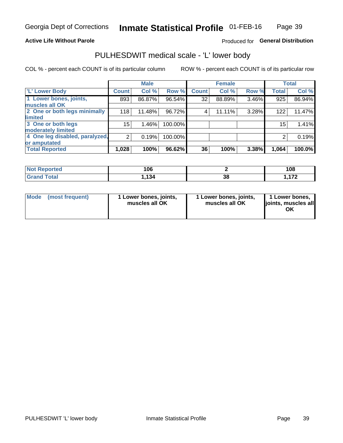### **Active Life Without Parole**

### Produced for General Distribution

## PULHESDWIT medical scale - 'L' lower body

COL % - percent each COUNT is of its particular column

|                                |                | <b>Male</b> |         |              | <b>Female</b> |       |                 | <b>Total</b> |
|--------------------------------|----------------|-------------|---------|--------------|---------------|-------|-----------------|--------------|
| 'L' Lower Body                 | <b>Count</b>   | Col %       | Row %   | <b>Count</b> | Col %         | Row % | <b>Total</b>    | Col %        |
| 1 Lower bones, joints,         | 893            | 86.87%      | 96.54%  | 32           | 88.89%        | 3.46% | 925             | 86.94%       |
| muscles all OK                 |                |             |         |              |               |       |                 |              |
| 2 One or both legs minimally   | 118            | 11.48%      | 96.72%  | 4            | 11.11%        | 3.28% | 122             | 11.47%       |
| limited                        |                |             |         |              |               |       |                 |              |
| 3 One or both legs             | 15             | 1.46%       | 100.00% |              |               |       | 15 <sub>1</sub> | 1.41%        |
| moderately limited             |                |             |         |              |               |       |                 |              |
| 4 One leg disabled, paralyzed, | $\overline{2}$ | 0.19%       | 100.00% |              |               |       | 2               | 0.19%        |
| or amputated                   |                |             |         |              |               |       |                 |              |
| <b>Total Reported</b>          | 1,028          | 100%        | 96.62%  | 36           | 100%          | 3.38% | 1,064           | 100.0%       |

| <b>Not Reported</b>      | 106  |          | 108 |
|--------------------------|------|----------|-----|
| <b>Total</b><br>ا الله ا | .134 | ^^<br>38 | --- |

| Mode | (most frequent) | 1 Lower bones, joints,<br>muscles all OK | 1 Lower bones, joints,<br>muscles all OK | 1 Lower bones,<br>ljoints, muscles all<br>OK |
|------|-----------------|------------------------------------------|------------------------------------------|----------------------------------------------|
|------|-----------------|------------------------------------------|------------------------------------------|----------------------------------------------|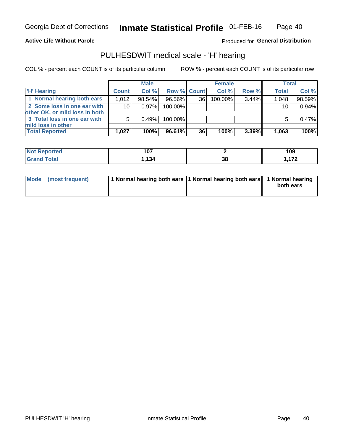### **Active Life Without Parole**

Produced for General Distribution

### PULHESDWIT medical scale - 'H' hearing

COL % - percent each COUNT is of its particular column

|                                                               |              | <b>Male</b> |             |                 | <b>Female</b> |       | <b>Total</b> |        |
|---------------------------------------------------------------|--------------|-------------|-------------|-----------------|---------------|-------|--------------|--------|
| <b>H'</b> Hearing                                             | <b>Count</b> | Col %       | Row % Count |                 | Col%          | Row % | <b>Total</b> | Col %  |
| 1 Normal hearing both ears                                    | 1.012        | 98.54%      | 96.56%      | 36 <sup>1</sup> | $100.00\%$    | 3.44% | 1,048        | 98.59% |
| 2 Some loss in one ear with<br>other OK, or mild loss in both | 10           | $0.97\%$    | 100.00%     |                 |               |       | 10           | 0.94%  |
| 3 Total loss in one ear with<br>mild loss in other            | 5            | 0.49%       | 100.00%     |                 |               |       |              | 0.47%  |
| <b>Total Reported</b>                                         | 1,027        | 100%        | 96.61%      | 36              | 100%          | 3.39% | 1,063        | 100%   |

| keported.<br><b>NOT</b> | 107  |    | 109 |
|-------------------------|------|----|-----|
| <b>otal</b>             | ,134 | 38 | ィフヘ |

| Mode (most frequent) | 1 Normal hearing both ears 1 Normal hearing both ears 1 Normal hearing |           |
|----------------------|------------------------------------------------------------------------|-----------|
|                      |                                                                        | both ears |
|                      |                                                                        |           |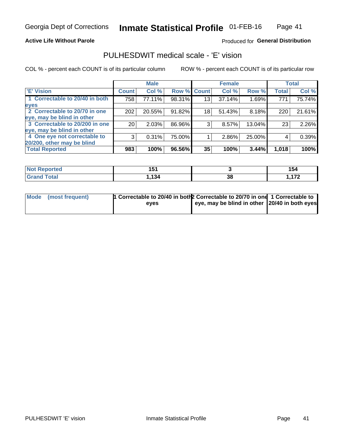### **Active Life Without Parole**

### Produced for General Distribution

## PULHESDWIT medical scale - 'E' vision

COL % - percent each COUNT is of its particular column

|                                |              | <b>Male</b> |             |    | <b>Female</b> |        |              | <b>Total</b> |
|--------------------------------|--------------|-------------|-------------|----|---------------|--------|--------------|--------------|
| 'E' Vision                     | <b>Count</b> | Col %       | Row % Count |    | Col %         | Row %  | <b>Total</b> | Col %        |
| 1 Correctable to 20/40 in both | 758          | 77.11%      | 98.31%      | 13 | 37.14%        | 1.69%  | 771          | 75.74%       |
| eyes                           |              |             |             |    |               |        |              |              |
| 2 Correctable to 20/70 in one  | 202          | 20.55%      | 91.82%      | 18 | 51.43%        | 8.18%  | 220          | 21.61%       |
| eye, may be blind in other     |              |             |             |    |               |        |              |              |
| 3 Correctable to 20/200 in one | 20           | 2.03%       | 86.96%      | 3  | 8.57%         | 13.04% | 23           | 2.26%        |
| eye, may be blind in other     |              |             |             |    |               |        |              |              |
| 4 One eye not correctable to   | 3            | 0.31%       | 75.00%      |    | 2.86%         | 25.00% | 4            | 0.39%        |
| 20/200, other may be blind     |              |             |             |    |               |        |              |              |
| <b>Total Reported</b>          | 983          | 100%        | 96.56%      | 35 | 100%          | 3.44%  | 1,018        | 100%         |

| <b>Not Reported</b>   | - -<br>ּט |    | 154      |
|-----------------------|-----------|----|----------|
| <b>Total</b><br>Grand | 1,134     | 38 | 170<br>. |

| Mode (most frequent) | 1 Correctable to 20/40 in both 2 Correctable to 20/70 in one 1 Correctable to<br>eves | eye, may be blind in other 20/40 in both eyes |  |
|----------------------|---------------------------------------------------------------------------------------|-----------------------------------------------|--|
|                      |                                                                                       |                                               |  |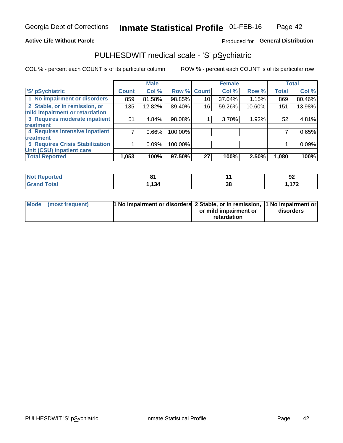### **Active Life Without Parole**

### Produced for General Distribution

## PULHESDWIT medical scale - 'S' pSychiatric

COL % - percent each COUNT is of its particular column

|                                 |              | <b>Male</b> |         |             | <b>Female</b> |        |              | <b>Total</b> |
|---------------------------------|--------------|-------------|---------|-------------|---------------|--------|--------------|--------------|
| 'S' pSychiatric                 | <b>Count</b> | Col %       |         | Row % Count | Col %         | Row %  | <b>Total</b> | Col %        |
| 1 No impairment or disorders    | 859          | 81.58%      | 98.85%  | 10          | 37.04%        | 1.15%  | 869          | 80.46%       |
| 2 Stable, or in remission, or   | 135          | 12.82%      | 89.40%  | 16          | 59.26%        | 10.60% | 151          | 13.98%       |
| mild impairment or retardation  |              |             |         |             |               |        |              |              |
| 3 Requires moderate inpatient   | 51           | 4.84%       | 98.08%  |             | 3.70%         | 1.92%  | 52           | 4.81%        |
| treatment                       |              |             |         |             |               |        |              |              |
| 4 Requires intensive inpatient  |              | 0.66%       | 100.00% |             |               |        |              | 0.65%        |
| <b>treatment</b>                |              |             |         |             |               |        |              |              |
| 5 Requires Crisis Stabilization |              | 0.09%       | 100.00% |             |               |        |              | 0.09%        |
| Unit (CSU) inpatient care       |              |             |         |             |               |        |              |              |
| <b>Total Reported</b>           | 1,053        | 100%        | 97.50%  | 27          | 100%          | 2.50%  | 1,080        | 100%         |

| <b>Not Reported</b> | о.<br>. .    |    | ΩC<br>94 |
|---------------------|--------------|----|----------|
| <b>Grand Total</b>  | 121<br>- 194 | 38 | 170      |

| Mode (most frequent) | 1 No impairment or disorders 2 Stable, or in remission, 11 No impairment or |                       |           |
|----------------------|-----------------------------------------------------------------------------|-----------------------|-----------|
|                      |                                                                             | or mild impairment or | disorders |
|                      |                                                                             | retardation           |           |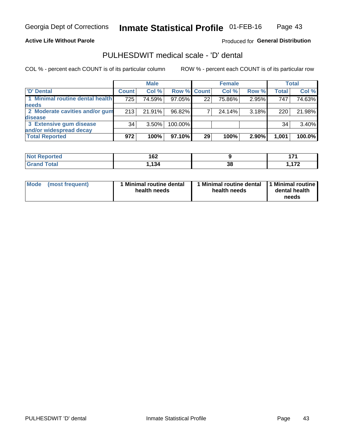**Active Life Without Parole** 

Produced for General Distribution

## PULHESDWIT medical scale - 'D' dental

COL % - percent each COUNT is of its particular column

|                                 |              | <b>Male</b> |         |             | <b>Female</b> |       |              | <b>Total</b> |
|---------------------------------|--------------|-------------|---------|-------------|---------------|-------|--------------|--------------|
| 'D' Dental                      | <b>Count</b> | Col %       |         | Row % Count | Col %         | Row % | <b>Total</b> | Col %        |
| 1 Minimal routine dental health | 725          | 74.59%      | 97.05%  | 22          | 75.86%        | 2.95% | 747          | 74.63%       |
| <b>needs</b>                    |              |             |         |             |               |       |              |              |
| 2 Moderate cavities and/or gum  | 213          | 21.91%      | 96.82%  |             | 24.14%        | 3.18% | 220          | 21.98%       |
| disease                         |              |             |         |             |               |       |              |              |
| 3 Extensive gum disease         | 34           | $3.50\%$    | 100.00% |             |               |       | 34           | 3.40%        |
| and/or widespread decay         |              |             |         |             |               |       |              |              |
| <b>Total Reported</b>           | 972          | 100%        | 97.10%  | 29          | 100%          | 2.90% | 1,001        | $100.0\%$    |

| prτea<br><b>NOT</b><br> | 162             |          |          |
|-------------------------|-----------------|----------|----------|
| <b>Total</b>            | 12 <sub>h</sub> | ŋ.<br>၁၀ | 170<br>. |

| <b>Mode</b>     | Minimal routine dental | 1 Minimal routine dental 1 Minimal routine | dental health |
|-----------------|------------------------|--------------------------------------------|---------------|
| (most frequent) | health needs           | health needs                               | needs         |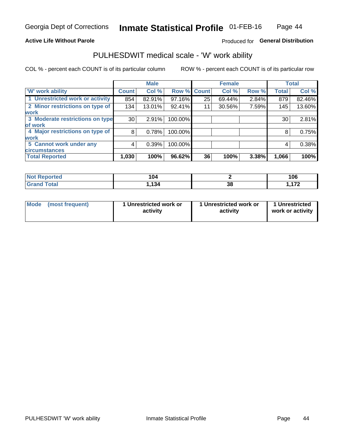### **Active Life Without Parole**

### Produced for General Distribution

### PULHESDWIT medical scale - 'W' work ability

COL % - percent each COUNT is of its particular column

|                                 |              | <b>Male</b> |         |             | <b>Female</b> |       |              | <b>Total</b> |
|---------------------------------|--------------|-------------|---------|-------------|---------------|-------|--------------|--------------|
| <b>W' work ability</b>          | <b>Count</b> | Col %       |         | Row % Count | Col %         | Row % | <b>Total</b> | Col %        |
| 1 Unrestricted work or activity | 854          | 82.91%      | 97.16%  | 25          | 69.44%        | 2.84% | 879          | 82.46%       |
| 2 Minor restrictions on type of | 134          | 13.01%      | 92.41%  | 11          | 30.56%        | 7.59% | 145          | 13.60%       |
| <b>work</b>                     |              |             |         |             |               |       |              |              |
| 3 Moderate restrictions on type | 30           | 2.91%       | 100.00% |             |               |       | 30           | 2.81%        |
| lof work                        |              |             |         |             |               |       |              |              |
| 4 Major restrictions on type of | 8            | 0.78%       | 100.00% |             |               |       | 8            | 0.75%        |
| <b>work</b>                     |              |             |         |             |               |       |              |              |
| 5 Cannot work under any         | 4            | 0.39%       | 100.00% |             |               |       | 4            | 0.38%        |
| <b>circumstances</b>            |              |             |         |             |               |       |              |              |
| <b>Total Reported</b>           | 1,030        | 100%        | 96.62%  | 36          | 100%          | 3.38% | 1,066        | 100%         |

| <b>Not Reported</b> | 104  |          | 106      |
|---------------------|------|----------|----------|
| <b>Grand Total</b>  | .134 | оc<br>JС | 170<br>. |

| Mode            | 1 Unrestricted work or | 1 Unrestricted work or | 1 Unrestricted   |
|-----------------|------------------------|------------------------|------------------|
| (most frequent) | activity               | activity               | work or activity |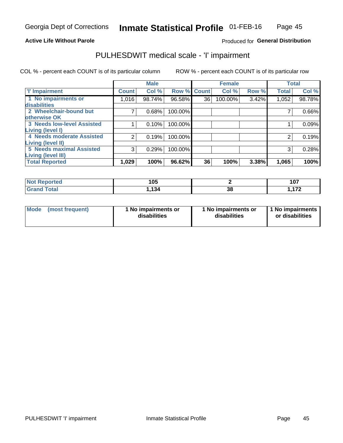#### **Active Life Without Parole**

### Produced for General Distribution

## PULHESDWIT medical scale - 'I' impairment

COL % - percent each COUNT is of its particular column ROW % - percent each COUNT is of its particular row

|                                   |              | <b>Male</b> |             |    | <b>Female</b> |       |              | <b>Total</b> |
|-----------------------------------|--------------|-------------|-------------|----|---------------|-------|--------------|--------------|
| <b>T' Impairment</b>              | <b>Count</b> | Col %       | Row % Count |    | Col %         | Row % | <b>Total</b> | Col %        |
| 1 No impairments or               | 1,016        | 98.74%      | 96.58%      | 36 | 100.00%       | 3.42% | 1,052        | 98.78%       |
| <b>disabilities</b>               |              |             |             |    |               |       |              |              |
| 2 Wheelchair-bound but            |              | 0.68%       | 100.00%     |    |               |       |              | 0.66%        |
| otherwise OK                      |              |             |             |    |               |       |              |              |
| <b>3 Needs low-level Assisted</b> |              | 0.10%       | 100.00%     |    |               |       |              | 0.09%        |
| Living (level I)                  |              |             |             |    |               |       |              |              |
| 4 Needs moderate Assisted         | 2            | 0.19%       | 100.00%     |    |               |       |              | 0.19%        |
| Living (level II)                 |              |             |             |    |               |       |              |              |
| <b>5 Needs maximal Assisted</b>   | 3            | 0.29%       | 100.00%     |    |               |       | 3            | 0.28%        |
| <b>Living (level III)</b>         |              |             |             |    |               |       |              |              |
| <b>Total Reported</b>             | 1,029        | 100%        | 96.62%      | 36 | 100%          | 3.38% | 1,065        | 100%         |

| Reported     | 105  |                       | 107<br>1 V I |
|--------------|------|-----------------------|--------------|
| <b>Total</b> | .134 | 20 <sup>2</sup><br>აი | 170          |

| Mode | (most frequent) | 1 No impairments or<br>disabilities | 1 No impairments or<br>disabilities | 1 No impairments<br>or disabilities |
|------|-----------------|-------------------------------------|-------------------------------------|-------------------------------------|
|------|-----------------|-------------------------------------|-------------------------------------|-------------------------------------|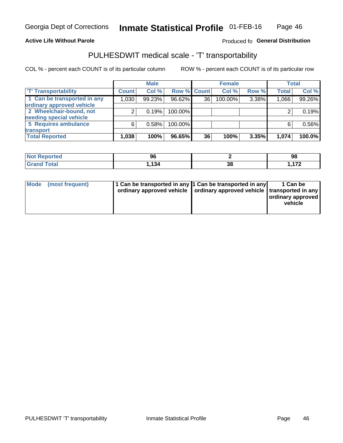### **Active Life Without Parole**

### Produced fo General Distribution

## PULHESDWIT medical scale - 'T' transportability

COL % - percent each COUNT is of its particular column

|                             |              | <b>Male</b> |             |    | <b>Female</b> |       |              | <b>Total</b> |
|-----------------------------|--------------|-------------|-------------|----|---------------|-------|--------------|--------------|
| <b>TT</b> Transportability  | <b>Count</b> | Col %       | Row % Count |    | Col %         | Row % | <b>Total</b> | Col %        |
| 1 Can be transported in any | 1,030        | 99.23%      | 96.62%      | 36 | 100.00%       | 3.38% | 1,066        | 99.26%       |
| ordinary approved vehicle   |              |             |             |    |               |       |              |              |
| 2 Wheelchair-bound, not     |              | 0.19%       | 100.00%     |    |               |       |              | 0.19%        |
| needing special vehicle     |              |             |             |    |               |       |              |              |
| 5 Requires ambulance        | ี            | 0.58%       | 100.00%     |    |               |       |              | 0.56%        |
| transport                   |              |             |             |    |               |       |              |              |
| <b>Total Reported</b>       | 1,038        | 100%        | 96.65%      | 36 | 100%          | 3.35% | 1,074        | 100.0%       |

| <b>eported</b> | 96  |    | 98  |
|----------------|-----|----|-----|
|                | 134 | აი | 470 |

| Mode (most frequent) | 1 Can be transported in any 1 Can be transported in any | ordinary approved vehicle   ordinary approved vehicle   transported in any | 1 Can be<br>ordinary approved<br>vehicle |
|----------------------|---------------------------------------------------------|----------------------------------------------------------------------------|------------------------------------------|
|                      |                                                         |                                                                            |                                          |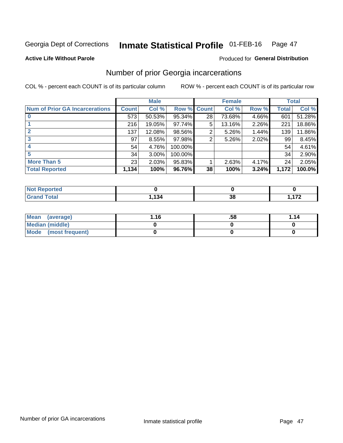#### Inmate Statistical Profile 01-FEB-16 Page 47

#### **Active Life Without Parole**

#### Produced for General Distribution

## Number of prior Georgia incarcerations

COL % - percent each COUNT is of its particular column

|                                       |              | <b>Male</b> |                    |    | <b>Female</b> |       |       | <b>Total</b> |
|---------------------------------------|--------------|-------------|--------------------|----|---------------|-------|-------|--------------|
| <b>Num of Prior GA Incarcerations</b> | <b>Count</b> | Col %       | <b>Row % Count</b> |    | Col %         | Row % | Total | Col %        |
|                                       | 573          | 50.53%      | 95.34%             | 28 | 73.68%        | 4.66% | 601   | 51.28%       |
|                                       | 216          | 19.05%      | 97.74%             | 5  | 13.16%        | 2.26% | 221   | 18.86%       |
|                                       | 137          | 12.08%      | 98.56%             | 2  | 5.26%         | 1.44% | 139   | 11.86%       |
| 3                                     | 97           | 8.55%       | 97.98%             | 2  | 5.26%         | 2.02% | 99    | 8.45%        |
| 4                                     | 54           | 4.76%       | 100.00%            |    |               |       | 54    | 4.61%        |
| 5                                     | 34           | 3.00%       | 100.00%            |    |               |       | 34    | 2.90%        |
| <b>More Than 5</b>                    | 23           | 2.03%       | 95.83%             |    | 2.63%         | 4.17% | 24    | 2.05%        |
| <b>Total Reported</b>                 | 1,134        | 100%        | 96.76%             | 38 | 100%          | 3.24% | 1,172 | 100.0%       |

| orted<br>N       |     |     |                          |
|------------------|-----|-----|--------------------------|
| <b>otal</b>      | 134 | ne. | $\overline{\phantom{a}}$ |
| $\mathbf{v}$ and |     | აი  | .                        |

| Mean (average)       | 1.16 | .58 | 1.14 |
|----------------------|------|-----|------|
| Median (middle)      |      |     |      |
| Mode (most frequent) |      |     |      |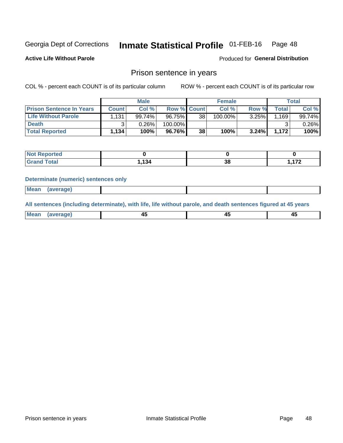#### Inmate Statistical Profile 01-FEB-16 Page 48

**Active Life Without Parole** 

Produced for General Distribution

### Prison sentence in years

COL % - percent each COUNT is of its particular column

ROW % - percent each COUNT is of its particular row

|                                 |         | <b>Male</b> |                    |    | <b>Female</b> |          |       | Total  |
|---------------------------------|---------|-------------|--------------------|----|---------------|----------|-------|--------|
| <b>Prison Sentence In Years</b> | Count l | Col %       | <b>Row % Count</b> |    | Col %         | Row %    | Total | Col %  |
| <b>Life Without Parole</b>      | 1,131   | 99.74%      | 96.75%             | 38 | 100.00%       | 3.25%    | .169  | 99.74% |
| <b>Death</b>                    |         | 0.26%       | 100.00%            |    |               |          |       | 0.26%  |
| <b>Total Reported</b>           | 1,134   | 100%        | 96.76%             | 38 | 100%          | $3.24\%$ | 1.172 | 100%   |

| <b>Reported</b> |      |           |     |
|-----------------|------|-----------|-----|
| <b>cotal</b>    | .134 | o c<br>აი | 170 |

#### **Determinate (numeric) sentences only**

| ' Mea<br><b>Service</b> A<br>ЯМА. |  |  |  |
|-----------------------------------|--|--|--|
|                                   |  |  |  |

All sentences (including determinate), with life, life without parole, and death sentences figured at 45 years

| Me:<br>апе<br>᠇<br> | $\sim$<br>$\sim$ |  |
|---------------------|------------------|--|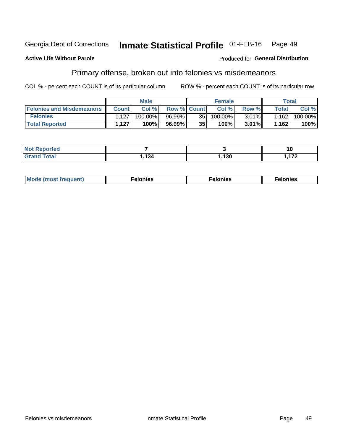#### Inmate Statistical Profile 01-FEB-16 Georgia Dept of Corrections Page 49

#### **Active Life Without Parole**

#### Produced for General Distribution

## Primary offense, broken out into felonies vs misdemeanors

COL % - percent each COUNT is of its particular column

|                                  |              | <b>Male</b> |                    |    | <b>Female</b> |          |              | Total   |
|----------------------------------|--------------|-------------|--------------------|----|---------------|----------|--------------|---------|
| <b>Felonies and Misdemeanors</b> | <b>Count</b> | Col%        | <b>Row % Count</b> |    | Col%          | Row %    | <b>Total</b> | Col %   |
| <b>Felonies</b>                  | .127         | 100.00%」    | 96.99%1            | 35 | $100.00\%$    | $3.01\%$ | 1,162        | 100.00% |
| <b>Total Reported</b>            | .127         | 100%        | 96.99%)            | 35 | 100%          | $3.01\%$ | 1,162        | 100%    |

| <b>Not Reported</b>          |       |      | 10       |
|------------------------------|-------|------|----------|
| <b>Total</b><br><b>Grand</b> | , 134 | ,130 | 170<br>. |

| <b>Mode</b><br>frequent)<br>nies<br>≧ (most tr.<br>. | onies<br>. | lonies<br>енл<br>____ |
|------------------------------------------------------|------------|-----------------------|
|------------------------------------------------------|------------|-----------------------|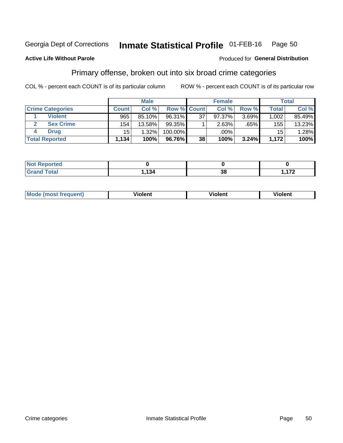#### Inmate Statistical Profile 01-FEB-16 Page 50

### **Active Life Without Parole**

#### Produced for General Distribution

### Primary offense, broken out into six broad crime categories

COL % - percent each COUNT is of its particular column

|                         |              | <b>Male</b> |                    |    | <b>Female</b> |       |                 | Total  |
|-------------------------|--------------|-------------|--------------------|----|---------------|-------|-----------------|--------|
| <b>Crime Categories</b> | <b>Count</b> | Col%        | <b>Row % Count</b> |    | Col %         | Row % | <b>Total</b>    | Col %  |
| <b>Violent</b>          | 965          | 85.10%      | 96.31%             | 37 | 97.37%        | 3.69% | 1,002           | 85.49% |
| <b>Sex Crime</b>        | 154          | 13.58%      | $99.35\%$          |    | 2.63%         | .65%  | 155             | 13.23% |
| <b>Drug</b>             | 15           | 1.32%       | 100.00%            |    | .00%          |       | 15 <sup>1</sup> | 1.28%  |
| <b>Total Reported</b>   | 1,134        | 100%        | 96.76%             | 38 | 100%          | 3.24% | 1.172           | 100%   |

| _____ | $\sim$ $\sim$ | IJu | - - -<br>$ -$ |
|-------|---------------|-----|---------------|

| Mo<br>nuenti | .<br>iolent<br>ΊΙ. | --<br>olent | .<br>'ent |
|--------------|--------------------|-------------|-----------|
|              |                    |             |           |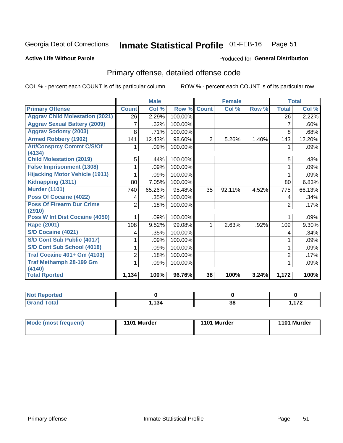#### Inmate Statistical Profile 01-FEB-16 Page 51

#### **Active Life Without Parole**

#### Produced for General Distribution

## Primary offense, detailed offense code

COL % - percent each COUNT is of its particular column

|                                            |                | <b>Male</b> |         |                | <b>Female</b> |       | <b>Total</b>   |         |
|--------------------------------------------|----------------|-------------|---------|----------------|---------------|-------|----------------|---------|
| <b>Primary Offense</b>                     | <b>Count</b>   | Col %       | Row %   | <b>Count</b>   | Col %         | Row % | <b>Total</b>   | Col %   |
| <b>Aggrav Child Molestation (2021)</b>     | 26             | 2.29%       | 100.00% |                |               |       | 26             | 2.22%   |
| <b>Aggrav Sexual Battery (2009)</b>        | 7              | .62%        | 100.00% |                |               |       | 7              | .60%    |
| <b>Aggrav Sodomy (2003)</b>                | 8              | .71%        | 100.00% |                |               |       | 8              | .68%    |
| <b>Armed Robbery (1902)</b>                | 141            | 12.43%      | 98.60%  | $\overline{2}$ | 5.26%         | 1.40% | 143            | 12.20%  |
| <b>Att/Consprcy Commt C/S/Of</b>           |                | .09%        | 100.00% |                |               |       |                | $.09\%$ |
| (4134)                                     |                |             |         |                |               |       |                |         |
| <b>Child Molestation (2019)</b>            | 5              | .44%        | 100.00% |                |               |       | 5              | .43%    |
| <b>False Imprisonment (1308)</b>           |                | .09%        | 100.00% |                |               |       |                | .09%    |
| <b>Hijacking Motor Vehicle (1911)</b>      |                | .09%        | 100.00% |                |               |       |                | .09%    |
| Kidnapping (1311)                          | 80             | 7.05%       | 100.00% |                |               |       | 80             | 6.83%   |
| <b>Murder (1101)</b>                       | 740            | 65.26%      | 95.48%  | 35             | 92.11%        | 4.52% | 775            | 66.13%  |
| <b>Poss Of Cocaine (4022)</b>              | 4              | .35%        | 100.00% |                |               |       | 4              | .34%    |
| <b>Poss Of Firearm Dur Crime</b><br>(2910) | $\overline{2}$ | .18%        | 100.00% |                |               |       | $\overline{2}$ | .17%    |
| Poss W Int Dist Cocaine (4050)             |                | .09%        | 100.00% |                |               |       |                | .09%    |
| <b>Rape (2001)</b>                         | 108            | 9.52%       | 99.08%  | 1              | 2.63%         | .92%  | 109            | 9.30%   |
| <b>S/D Cocaine (4021)</b>                  | 4              | .35%        | 100.00% |                |               |       | 4              | .34%    |
| S/D Cont Sub Public (4017)                 |                | .09%        | 100.00% |                |               |       |                | .09%    |
| S/D Cont Sub School (4018)                 |                | .09%        | 100.00% |                |               |       |                | .09%    |
| <b>Traf Cocaine 401+ Gm (4103)</b>         | 2              | .18%        | 100.00% |                |               |       | $\overline{2}$ | .17%    |
| <b>Traf Methamph 28-199 Gm</b>             |                | .09%        | 100.00% |                |               |       |                | .09%    |
| (4140)<br><b>Total Rported</b>             | 1,134          | 100%        | 96.76%  | 38             | 100%          | 3.24% | 1,172          | 100%    |

| <b>12</b> | ^` | ית |
|-----------|----|----|
| 194       | ၁၀ | .  |

| 1101 Murder<br>Mode (most frequent)<br>1101 Murder | 1101 Murder |
|----------------------------------------------------|-------------|
|----------------------------------------------------|-------------|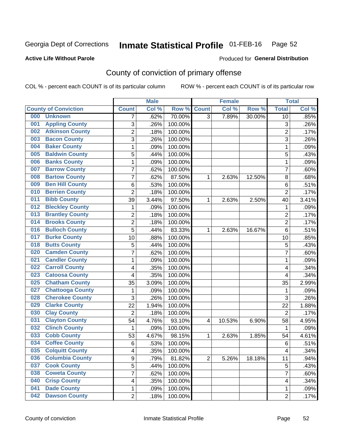#### Inmate Statistical Profile 01-FEB-16 Page 52

### **Active Life Without Parole**

#### Produced for General Distribution

## County of conviction of primary offense

COL % - percent each COUNT is of its particular column

|                                |                         | <b>Male</b> |         |                | <b>Female</b> |        |                | <b>Total</b> |
|--------------------------------|-------------------------|-------------|---------|----------------|---------------|--------|----------------|--------------|
| <b>County of Conviction</b>    | <b>Count</b>            | Col %       | Row %   | <b>Count</b>   | Col %         | Row %  | <b>Total</b>   | Col %        |
| 000<br><b>Unknown</b>          | 7                       | .62%        | 70.00%  | $\overline{3}$ | 7.89%         | 30.00% | 10             | .85%         |
| <b>Appling County</b><br>001   | 3                       | .26%        | 100.00% |                |               |        | 3              | .26%         |
| <b>Atkinson County</b><br>002  | $\overline{2}$          | .18%        | 100.00% |                |               |        | $\overline{2}$ | .17%         |
| <b>Bacon County</b><br>003     | 3                       | .26%        | 100.00% |                |               |        | $\overline{3}$ | .26%         |
| <b>Baker County</b><br>004     | 1                       | .09%        | 100.00% |                |               |        | 1              | .09%         |
| <b>Baldwin County</b><br>005   | 5                       | .44%        | 100.00% |                |               |        | 5              | .43%         |
| <b>Banks County</b><br>006     | $\mathbf{1}$            | .09%        | 100.00% |                |               |        | 1              | .09%         |
| <b>Barrow County</b><br>007    | 7                       | .62%        | 100.00% |                |               |        | 7              | .60%         |
| <b>Bartow County</b><br>008    | 7                       | .62%        | 87.50%  | 1              | 2.63%         | 12.50% | 8              | .68%         |
| <b>Ben Hill County</b><br>009  | 6                       | .53%        | 100.00% |                |               |        | 6              | .51%         |
| <b>Berrien County</b><br>010   | $\overline{2}$          | .18%        | 100.00% |                |               |        | $\overline{2}$ | .17%         |
| <b>Bibb County</b><br>011      | 39                      | 3.44%       | 97.50%  | 1              | 2.63%         | 2.50%  | 40             | 3.41%        |
| <b>Bleckley County</b><br>012  | 1                       | .09%        | 100.00% |                |               |        | 1              | .09%         |
| <b>Brantley County</b><br>013  | $\overline{2}$          | .18%        | 100.00% |                |               |        | $\overline{2}$ | .17%         |
| <b>Brooks County</b><br>014    | $\overline{2}$          | .18%        | 100.00% |                |               |        | $\overline{2}$ | .17%         |
| <b>Bulloch County</b><br>016   | 5                       | .44%        | 83.33%  | 1              | 2.63%         | 16.67% | 6              | .51%         |
| <b>Burke County</b><br>017     | 10                      | .88%        | 100.00% |                |               |        | 10             | .85%         |
| <b>Butts County</b><br>018     | 5                       | .44%        | 100.00% |                |               |        | 5              | .43%         |
| <b>Camden County</b><br>020    | $\overline{7}$          | .62%        | 100.00% |                |               |        | $\overline{7}$ | .60%         |
| <b>Candler County</b><br>021   | 1                       | .09%        | 100.00% |                |               |        | 1              | .09%         |
| <b>Carroll County</b><br>022   | 4                       | .35%        | 100.00% |                |               |        | 4              | .34%         |
| <b>Catoosa County</b><br>023   | 4                       | .35%        | 100.00% |                |               |        | 4              | .34%         |
| <b>Chatham County</b><br>025   | 35                      | 3.09%       | 100.00% |                |               |        | 35             | 2.99%        |
| <b>Chattooga County</b><br>027 | 1                       | .09%        | 100.00% |                |               |        | 1              | .09%         |
| <b>Cherokee County</b><br>028  | 3                       | .26%        | 100.00% |                |               |        | 3              | .26%         |
| <b>Clarke County</b><br>029    | 22                      | 1.94%       | 100.00% |                |               |        | 22             | 1.88%        |
| <b>Clay County</b><br>030      | $\overline{2}$          | .18%        | 100.00% |                |               |        | $\overline{2}$ | .17%         |
| <b>Clayton County</b><br>031   | 54                      | 4.76%       | 93.10%  | 4              | 10.53%        | 6.90%  | 58             | 4.95%        |
| <b>Clinch County</b><br>032    | 1                       | .09%        | 100.00% |                |               |        | 1              | .09%         |
| <b>Cobb County</b><br>033      | 53                      | 4.67%       | 98.15%  | 1              | 2.63%         | 1.85%  | 54             | 4.61%        |
| <b>Coffee County</b><br>034    | $6\phantom{1}$          | .53%        | 100.00% |                |               |        | 6              | .51%         |
| 035<br><b>Colquitt County</b>  | $\overline{\mathbf{4}}$ | .35%        | 100.00% |                |               |        | 4              | .34%         |
| <b>Columbia County</b><br>036  | 9                       | .79%        | 81.82%  | $\overline{2}$ | 5.26%         | 18.18% | 11             | .94%         |
| 037<br><b>Cook County</b>      | 5                       | .44%        | 100.00% |                |               |        | 5              | .43%         |
| <b>Coweta County</b><br>038    | 7                       | .62%        | 100.00% |                |               |        | $\overline{7}$ | .60%         |
| <b>Crisp County</b><br>040     | 4                       | .35%        | 100.00% |                |               |        | 4              | .34%         |
| <b>Dade County</b><br>041      | 1                       | .09%        | 100.00% |                |               |        | 1              | .09%         |
| <b>Dawson County</b><br>042    | $\overline{2}$          | .18%        | 100.00% |                |               |        | $\overline{2}$ | .17%         |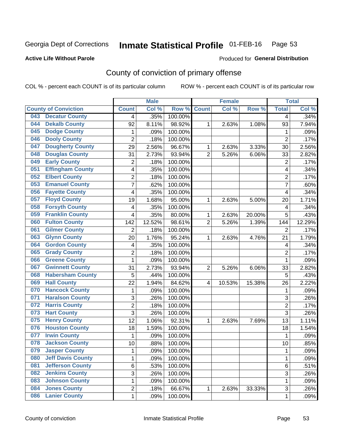#### Inmate Statistical Profile 01-FEB-16 Page 53

### **Active Life Without Parole**

#### Produced for General Distribution

## County of conviction of primary offense

COL % - percent each COUNT is of its particular column

|                                 |                | <b>Male</b> |         |                | <b>Female</b> |        |                | <b>Total</b> |
|---------------------------------|----------------|-------------|---------|----------------|---------------|--------|----------------|--------------|
| <b>County of Conviction</b>     | <b>Count</b>   | Col %       | Row %   | <b>Count</b>   | Col %         | Row %  | <b>Total</b>   | Col %        |
| <b>Decatur County</b><br>043    | 4              | .35%        | 100.00% |                |               |        | 4              | .34%         |
| <b>Dekalb County</b><br>044     | 92             | 8.11%       | 98.92%  | 1              | 2.63%         | 1.08%  | 93             | 7.94%        |
| <b>Dodge County</b><br>045      | 1              | .09%        | 100.00% |                |               |        | 1              | .09%         |
| <b>Dooly County</b><br>046      | $\overline{2}$ | .18%        | 100.00% |                |               |        | $\overline{2}$ | .17%         |
| <b>Dougherty County</b><br>047  | 29             | 2.56%       | 96.67%  | 1              | 2.63%         | 3.33%  | 30             | 2.56%        |
| <b>Douglas County</b><br>048    | 31             | 2.73%       | 93.94%  | $\overline{2}$ | 5.26%         | 6.06%  | 33             | 2.82%        |
| <b>Early County</b><br>049      | $\overline{2}$ | .18%        | 100.00% |                |               |        | $\overline{2}$ | .17%         |
| <b>Effingham County</b><br>051  | 4              | .35%        | 100.00% |                |               |        | 4              | .34%         |
| <b>Elbert County</b><br>052     | 2              | .18%        | 100.00% |                |               |        | $\overline{2}$ | .17%         |
| <b>Emanuel County</b><br>053    | $\overline{7}$ | .62%        | 100.00% |                |               |        | $\overline{7}$ | .60%         |
| <b>Fayette County</b><br>056    | 4              | .35%        | 100.00% |                |               |        | 4              | .34%         |
| <b>Floyd County</b><br>057      | 19             | 1.68%       | 95.00%  | 1              | 2.63%         | 5.00%  | 20             | 1.71%        |
| <b>Forsyth County</b><br>058    | 4              | .35%        | 100.00% |                |               |        | 4              | .34%         |
| <b>Franklin County</b><br>059   | 4              | .35%        | 80.00%  | 1              | 2.63%         | 20.00% | 5              | .43%         |
| <b>Fulton County</b><br>060     | 142            | 12.52%      | 98.61%  | $\overline{2}$ | 5.26%         | 1.39%  | 144            | 12.29%       |
| <b>Gilmer County</b><br>061     | 2              | .18%        | 100.00% |                |               |        | $\overline{2}$ | .17%         |
| <b>Glynn County</b><br>063      | 20             | 1.76%       | 95.24%  | 1              | 2.63%         | 4.76%  | 21             | 1.79%        |
| <b>Gordon County</b><br>064     | 4              | .35%        | 100.00% |                |               |        | 4              | .34%         |
| <b>Grady County</b><br>065      | $\overline{2}$ | .18%        | 100.00% |                |               |        | $\overline{2}$ | .17%         |
| <b>Greene County</b><br>066     | 1              | .09%        | 100.00% |                |               |        | 1              | .09%         |
| <b>Gwinnett County</b><br>067   | 31             | 2.73%       | 93.94%  | $\overline{2}$ | 5.26%         | 6.06%  | 33             | 2.82%        |
| <b>Habersham County</b><br>068  | 5              | .44%        | 100.00% |                |               |        | 5              | .43%         |
| <b>Hall County</b><br>069       | 22             | 1.94%       | 84.62%  | 4              | 10.53%        | 15.38% | 26             | 2.22%        |
| <b>Hancock County</b><br>070    | 1              | .09%        | 100.00% |                |               |        | 1              | .09%         |
| <b>Haralson County</b><br>071   | 3              | .26%        | 100.00% |                |               |        | 3              | .26%         |
| <b>Harris County</b><br>072     | $\overline{2}$ | .18%        | 100.00% |                |               |        | $\overline{2}$ | .17%         |
| <b>Hart County</b><br>073       | $\overline{3}$ | .26%        | 100.00% |                |               |        | 3              | .26%         |
| <b>Henry County</b><br>075      | 12             | 1.06%       | 92.31%  | 1              | 2.63%         | 7.69%  | 13             | 1.11%        |
| <b>Houston County</b><br>076    | 18             | 1.59%       | 100.00% |                |               |        | 18             | 1.54%        |
| <b>Irwin County</b><br>077      | 1              | .09%        | 100.00% |                |               |        | 1              | .09%         |
| <b>Jackson County</b><br>078    | 10             | .88%        | 100.00% |                |               |        | 10             | .85%         |
| 079<br><b>Jasper County</b>     | 1              | .09%        | 100.00% |                |               |        | 1              | .09%         |
| <b>Jeff Davis County</b><br>080 | 1              | .09%        | 100.00% |                |               |        | $\mathbf{1}$   | .09%         |
| <b>Jefferson County</b><br>081  | 6              | .53%        | 100.00% |                |               |        | 6              | .51%         |
| <b>Jenkins County</b><br>082    | 3              | .26%        | 100.00% |                |               |        | 3              | .26%         |
| <b>Johnson County</b><br>083    | 1              | .09%        | 100.00% |                |               |        | 1              | .09%         |
| <b>Jones County</b><br>084      | 2              | .18%        | 66.67%  | 1              | 2.63%         | 33.33% | 3              | .26%         |
| <b>Lanier County</b><br>086     | 1              | .09%        | 100.00% |                |               |        | 1              | .09%         |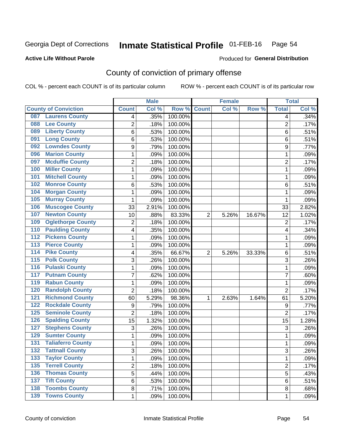#### Inmate Statistical Profile 01-FEB-16 Page 54

### **Active Life Without Parole**

### **Produced for General Distribution**

## County of conviction of primary offense

COL % - percent each COUNT is of its particular column

|                                           |                | <b>Male</b> |         |                | <b>Female</b> |        | <b>Total</b>   |       |
|-------------------------------------------|----------------|-------------|---------|----------------|---------------|--------|----------------|-------|
| <b>County of Conviction</b>               | <b>Count</b>   | Col %       | Row %   | <b>Count</b>   | Col %         | Row %  | <b>Total</b>   | Col % |
| <b>Laurens County</b><br>087              | 4              | .35%        | 100.00% |                |               |        | 4              | .34%  |
| <b>Lee County</b><br>088                  | 2              | .18%        | 100.00% |                |               |        | $\overline{2}$ | .17%  |
| <b>Liberty County</b><br>089              | 6              | .53%        | 100.00% |                |               |        | 6              | .51%  |
| <b>Long County</b><br>091                 | 6              | .53%        | 100.00% |                |               |        | 6              | .51%  |
| <b>Lowndes County</b><br>092              | 9              | .79%        | 100.00% |                |               |        | 9              | .77%  |
| <b>Marion County</b><br>096               | 1              | .09%        | 100.00% |                |               |        | $\mathbf{1}$   | .09%  |
| <b>Mcduffie County</b><br>097             | $\overline{c}$ | .18%        | 100.00% |                |               |        | $\overline{2}$ | .17%  |
| <b>Miller County</b><br>100               | 1              | .09%        | 100.00% |                |               |        | $\mathbf{1}$   | .09%  |
| <b>Mitchell County</b><br>101             | 1              | .09%        | 100.00% |                |               |        | 1              | .09%  |
| <b>Monroe County</b><br>102               | 6              | .53%        | 100.00% |                |               |        | 6              | .51%  |
| <b>Morgan County</b><br>104               | 1              | .09%        | 100.00% |                |               |        | 1              | .09%  |
| <b>Murray County</b><br>105               | 1              | .09%        | 100.00% |                |               |        | 1              | .09%  |
| <b>Muscogee County</b><br>106             | 33             | 2.91%       | 100.00% |                |               |        | 33             | 2.82% |
| <b>Newton County</b><br>107               | 10             | .88%        | 83.33%  | $\overline{2}$ | 5.26%         | 16.67% | 12             | 1.02% |
| <b>Oglethorpe County</b><br>109           | 2              | .18%        | 100.00% |                |               |        | $\overline{2}$ | .17%  |
| <b>Paulding County</b><br>110             | 4              | .35%        | 100.00% |                |               |        | 4              | .34%  |
| <b>Pickens County</b><br>$\overline{112}$ | 1              | .09%        | 100.00% |                |               |        | 1              | .09%  |
| <b>Pierce County</b><br>$\overline{113}$  | 1              | .09%        | 100.00% |                |               |        | $\mathbf{1}$   | .09%  |
| <b>Pike County</b><br>$\overline{114}$    | 4              | .35%        | 66.67%  | $\overline{2}$ | 5.26%         | 33.33% | 6              | .51%  |
| <b>Polk County</b><br>$\overline{115}$    | 3              | .26%        | 100.00% |                |               |        | 3              | .26%  |
| <b>Pulaski County</b><br>116              | 1              | .09%        | 100.00% |                |               |        | $\mathbf{1}$   | .09%  |
| <b>Putnam County</b><br>117               | 7              | .62%        | 100.00% |                |               |        | 7              | .60%  |
| <b>Rabun County</b><br>119                | 1              | .09%        | 100.00% |                |               |        | $\mathbf{1}$   | .09%  |
| <b>Randolph County</b><br>120             | $\overline{2}$ | .18%        | 100.00% |                |               |        | $\overline{2}$ | .17%  |
| <b>Richmond County</b><br>121             | 60             | 5.29%       | 98.36%  | 1              | 2.63%         | 1.64%  | 61             | 5.20% |
| <b>Rockdale County</b><br>122             | 9              | .79%        | 100.00% |                |               |        | 9              | .77%  |
| <b>Seminole County</b><br>125             | $\overline{2}$ | .18%        | 100.00% |                |               |        | $\overline{2}$ | .17%  |
| <b>Spalding County</b><br>126             | 15             | 1.32%       | 100.00% |                |               |        | 15             | 1.28% |
| <b>Stephens County</b><br>127             | 3              | .26%        | 100.00% |                |               |        | 3              | .26%  |
| <b>Sumter County</b><br>129               | 1              | .09%        | 100.00% |                |               |        | $\mathbf{1}$   | .09%  |
| <b>Taliaferro County</b><br>131           | 1              | .09%        | 100.00% |                |               |        | 1              | .09%  |
| <b>Tattnall County</b><br>132             | 3              | .26%        | 100.00% |                |               |        | 3              | .26%  |
| <b>Taylor County</b><br>133               | 1              | .09%        | 100.00% |                |               |        | $\mathbf{1}$   | .09%  |
| <b>Terrell County</b><br>135              | $\overline{2}$ | .18%        | 100.00% |                |               |        | $\overline{2}$ | .17%  |
| <b>Thomas County</b><br>136               | 5              | .44%        | 100.00% |                |               |        | 5              | .43%  |
| <b>Tift County</b><br>137                 | 6              | .53%        | 100.00% |                |               |        | 6              | .51%  |
| <b>Toombs County</b><br>138               | 8              | .71%        | 100.00% |                |               |        | 8              | .68%  |
| 139 Towns County                          | $\mathbf{1}$   | .09%        | 100.00% |                |               |        | $\mathbf{1}$   | .09%  |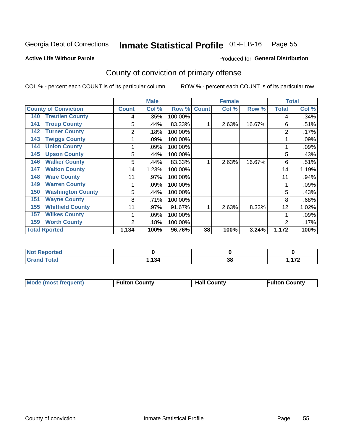## Inmate Statistical Profile 01-FEB-16 Page 55

Produced for General Distribution

### **Active Life Without Parole**

## County of conviction of primary offense

COL % - percent each COUNT is of its particular column

|                                 |              | <b>Male</b> |         |              | <b>Female</b> |        | <b>Total</b>   |       |
|---------------------------------|--------------|-------------|---------|--------------|---------------|--------|----------------|-------|
| <b>County of Conviction</b>     | <b>Count</b> | Col %       | Row %   | <b>Count</b> | Col %         | Row %  | <b>Total</b>   | Col % |
| <b>Treutlen County</b><br>140   | 4            | .35%        | 100.00% |              |               |        | 4              | .34%  |
| <b>Troup County</b><br>141      | 5            | .44%        | 83.33%  |              | 2.63%         | 16.67% | 6              | .51%  |
| <b>Turner County</b><br>142     | 2            | .18%        | 100.00% |              |               |        | 2              | .17%  |
| <b>Twiggs County</b><br>143     |              | .09%        | 100.00% |              |               |        |                | .09%  |
| <b>Union County</b><br>144      |              | .09%        | 100.00% |              |               |        |                | .09%  |
| <b>Upson County</b><br>145      | 5            | .44%        | 100.00% |              |               |        | 5              | .43%  |
| <b>Walker County</b><br>146     | 5            | .44%        | 83.33%  |              | 2.63%         | 16.67% | 6              | .51%  |
| <b>Walton County</b><br>147     | 14           | 1.23%       | 100.00% |              |               |        | 14             | 1.19% |
| <b>Ware County</b><br>148       | 11           | .97%        | 100.00% |              |               |        | 11             | .94%  |
| <b>Warren County</b><br>149     |              | .09%        | 100.00% |              |               |        |                | .09%  |
| <b>Washington County</b><br>150 | 5            | .44%        | 100.00% |              |               |        | 5              | .43%  |
| <b>Wayne County</b><br>151      | 8            | .71%        | 100.00% |              |               |        | 8              | .68%  |
| <b>Whitfield County</b><br>155  | 11           | .97%        | 91.67%  |              | 2.63%         | 8.33%  | 12             | 1.02% |
| <b>Wilkes County</b><br>157     |              | .09%        | 100.00% |              |               |        |                | .09%  |
| <b>Worth County</b><br>159      | 2            | .18%        | 100.00% |              |               |        | $\overline{2}$ | .17%  |
| <b>Total Rported</b>            | 1,134        | 100%        | 96.76%  | 38           | 100%          | 3.24%  | 1,172          | 100%  |

| ---<br>olatetol<br>N |     |         |                          |
|----------------------|-----|---------|--------------------------|
| ota                  | 121 | ົ<br>၁၀ | 170<br>.<br>. <i>.</i> . |

| <b>Mode (most frequent)</b> | <b>Fulton County</b> | <b>Hall County</b> | <b>Fulton County</b> |
|-----------------------------|----------------------|--------------------|----------------------|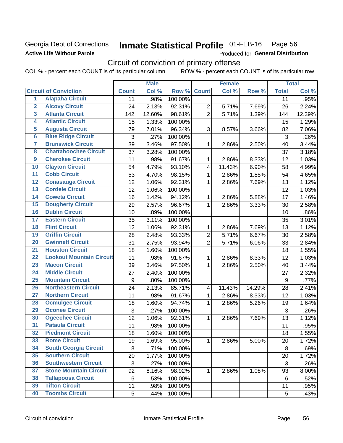### Georgia Dept of Corrections **Active Life Without Parole**

#### Inmate Statistical Profile 01-FEB-16 Page 56

Produced for General Distribution

## Circuit of conviction of primary offense

COL % - percent each COUNT is of its particular column ROW % - percent each COUNT is of its particular row

|                         |                                 |                           | <b>Male</b> |         |                         | <b>Female</b> |        |                | <b>Total</b> |
|-------------------------|---------------------------------|---------------------------|-------------|---------|-------------------------|---------------|--------|----------------|--------------|
|                         | <b>Circuit of Conviction</b>    | <b>Count</b>              | Col %       | Row %   | <b>Count</b>            | Col %         | Row %  | <b>Total</b>   | Col %        |
| 1                       | <b>Alapaha Circuit</b>          | 11                        | .98%        | 100.00% |                         |               |        | 11             | .95%         |
| $\overline{2}$          | <b>Alcovy Circuit</b>           | 24                        | 2.13%       | 92.31%  | $\overline{2}$          | 5.71%         | 7.69%  | 26             | 2.24%        |
| $\overline{\mathbf{3}}$ | <b>Atlanta Circuit</b>          | 142                       | 12.60%      | 98.61%  | $\overline{2}$          | 5.71%         | 1.39%  | 144            | 12.39%       |
| 4                       | <b>Atlantic Circuit</b>         | 15                        | 1.33%       | 100.00% |                         |               |        | 15             | 1.29%        |
| $\overline{5}$          | <b>Augusta Circuit</b>          | 79                        | 7.01%       | 96.34%  | 3                       | 8.57%         | 3.66%  | 82             | 7.06%        |
| $\overline{6}$          | <b>Blue Ridge Circuit</b>       | 3                         | .27%        | 100.00% |                         |               |        | $\mathfrak{S}$ | .26%         |
| 7                       | <b>Brunswick Circuit</b>        | 39                        | 3.46%       | 97.50%  | $\mathbf 1$             | 2.86%         | 2.50%  | 40             | 3.44%        |
| 8                       | <b>Chattahoochee Circuit</b>    | 37                        | 3.28%       | 100.00% |                         |               |        | 37             | 3.18%        |
| $\overline{9}$          | <b>Cherokee Circuit</b>         | 11                        | .98%        | 91.67%  | 1                       | 2.86%         | 8.33%  | 12             | 1.03%        |
| 10                      | <b>Clayton Circuit</b>          | 54                        | 4.79%       | 93.10%  | $\overline{\mathbf{4}}$ | 11.43%        | 6.90%  | 58             | 4.99%        |
| $\overline{11}$         | <b>Cobb Circuit</b>             | 53                        | 4.70%       | 98.15%  | 1                       | 2.86%         | 1.85%  | 54             | 4.65%        |
| $\overline{12}$         | <b>Conasauga Circuit</b>        | 12                        | 1.06%       | 92.31%  | 1                       | 2.86%         | 7.69%  | 13             | 1.12%        |
| $\overline{13}$         | <b>Cordele Circuit</b>          | 12                        | 1.06%       | 100.00% |                         |               |        | 12             | 1.03%        |
| $\overline{14}$         | <b>Coweta Circuit</b>           | 16                        | 1.42%       | 94.12%  | $\mathbf{1}$            | 2.86%         | 5.88%  | 17             | 1.46%        |
| $\overline{15}$         | <b>Dougherty Circuit</b>        | 29                        | 2.57%       | 96.67%  | $\mathbf{1}$            | 2.86%         | 3.33%  | 30             | 2.58%        |
| 16                      | <b>Dublin Circuit</b>           | 10                        | .89%        | 100.00% |                         |               |        | 10             | .86%         |
| $\overline{17}$         | <b>Eastern Circuit</b>          | 35                        | 3.11%       | 100.00% |                         |               |        | 35             | 3.01%        |
| $\overline{18}$         | <b>Flint Circuit</b>            | 12                        | 1.06%       | 92.31%  | $\mathbf 1$             | 2.86%         | 7.69%  | 13             | 1.12%        |
| 19                      | <b>Griffin Circuit</b>          | 28                        | 2.48%       | 93.33%  | $\overline{2}$          | 5.71%         | 6.67%  | 30             | 2.58%        |
| 20                      | <b>Gwinnett Circuit</b>         | 31                        | 2.75%       | 93.94%  | $\overline{2}$          | 5.71%         | 6.06%  | 33             | 2.84%        |
| $\overline{21}$         | <b>Houston Circuit</b>          | 18                        | 1.60%       | 100.00% |                         |               |        | 18             | 1.55%        |
| $\overline{22}$         | <b>Lookout Mountain Circuit</b> | 11                        | .98%        | 91.67%  | $\mathbf{1}$            | 2.86%         | 8.33%  | 12             | 1.03%        |
| 23                      | <b>Macon Circuit</b>            | 39                        | 3.46%       | 97.50%  | 1                       | 2.86%         | 2.50%  | 40             | 3.44%        |
| 24                      | <b>Middle Circuit</b>           | 27                        | 2.40%       | 100.00% |                         |               |        | 27             | 2.32%        |
| $\overline{25}$         | <b>Mountain Circuit</b>         | 9                         | .80%        | 100.00% |                         |               |        | 9              | .77%         |
| 26                      | <b>Northeastern Circuit</b>     | 24                        | 2.13%       | 85.71%  | $\overline{\mathbf{4}}$ | 11.43%        | 14.29% | 28             | 2.41%        |
| $\overline{27}$         | <b>Northern Circuit</b>         | 11                        | .98%        | 91.67%  | 1                       | 2.86%         | 8.33%  | 12             | 1.03%        |
| 28                      | <b>Ocmulgee Circuit</b>         | 18                        | 1.60%       | 94.74%  | 1                       | 2.86%         | 5.26%  | 19             | 1.64%        |
| 29                      | <b>Oconee Circuit</b>           | 3                         | .27%        | 100.00% |                         |               |        | $\mathfrak{S}$ | .26%         |
| 30                      | <b>Ogeechee Circuit</b>         | 12                        | 1.06%       | 92.31%  | $\mathbf 1$             | 2.86%         | 7.69%  | 13             | 1.12%        |
| $\overline{31}$         | <b>Pataula Circuit</b>          | 11                        | .98%        | 100.00% |                         |               |        | 11             | .95%         |
| 32                      | <b>Piedmont Circuit</b>         | 18                        | 1.60%       | 100.00% |                         |               |        | 18             | 1.55%        |
| 33                      | <b>Rome Circuit</b>             | 19                        | 1.69%       | 95.00%  | $\mathbf 1$             | 2.86%         | 5.00%  | 20             | 1.72%        |
| 34                      | <b>South Georgia Circuit</b>    | 8                         | .71%        | 100.00% |                         |               |        | 8              | .69%         |
| 35                      | <b>Southern Circuit</b>         | 20                        | 1.77%       | 100.00% |                         |               |        | 20             | 1.72%        |
| 36                      | <b>Southwestern Circuit</b>     | $\ensuremath{\mathsf{3}}$ | .27%        | 100.00% |                         |               |        | 3              | .26%         |
| 37                      | <b>Stone Mountain Circuit</b>   | 92                        | 8.16%       | 98.92%  | 1                       | 2.86%         | 1.08%  | 93             | 8.00%        |
| 38                      | <b>Tallapoosa Circuit</b>       | 6                         | .53%        | 100.00% |                         |               |        | 6              | .52%         |
| 39                      | <b>Tifton Circuit</b>           | 11                        | .98%        | 100.00% |                         |               |        | 11             | .95%         |
| 40                      | <b>Toombs Circuit</b>           | 5                         | .44%        | 100.00% |                         |               |        | 5              | .43%         |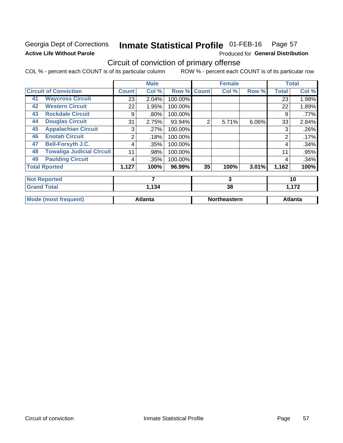### Georgia Dept of Corrections **Active Life Without Parole**

#### Inmate Statistical Profile 01-FEB-16 Page 57

Produced for General Distribution

## Circuit of conviction of primary offense

COL % - percent each COUNT is of its particular column ROW % - percent each COUNT is of its particular row

|    |                                  |              | <b>Male</b>    |         |              | <b>Female</b>       |       |                | <b>Total</b>   |
|----|----------------------------------|--------------|----------------|---------|--------------|---------------------|-------|----------------|----------------|
|    | <b>Circuit of Conviction</b>     | <b>Count</b> | Col %          | Row %   | <b>Count</b> | Col %               | Row % | <b>Total</b>   | Col %          |
| 41 | <b>Waycross Circuit</b>          | 23           | 2.04%          | 100.00% |              |                     |       | 23             | 1.98%          |
| 42 | <b>Western Circuit</b>           | 22           | 1.95%          | 100.00% |              |                     |       | 22             | 1.89%          |
| 43 | <b>Rockdale Circuit</b>          | 9            | .80%           | 100.00% |              |                     |       | 9              | .77%           |
| 44 | <b>Douglas Circuit</b>           | 31           | 2.75%          | 93.94%  | 2            | 5.71%               | 6.06% | 33             | 2.84%          |
| 45 | <b>Appalachian Circuit</b>       | 3            | .27%           | 100.00% |              |                     |       | 3              | .26%           |
| 46 | <b>Enotah Circuit</b>            | 2            | .18%           | 100.00% |              |                     |       | $\overline{2}$ | .17%           |
| 47 | <b>Bell-Forsyth J.C.</b>         | 4            | .35%           | 100.00% |              |                     |       | 4              | .34%           |
| 48 | <b>Towaliga Judicial Circuit</b> | 11           | .98%           | 100.00% |              |                     |       | 11             | .95%           |
| 49 | <b>Paulding Circuit</b>          | 4            | .35%           | 100.00% |              |                     |       | 4              | .34%           |
|    | <b>Total Rported</b>             | 1,127        | 100%           | 96.99%  | 35           | 100%                | 3.01% | 1,162          | 100%           |
|    | <b>Not Reported</b>              |              | 7              |         |              | 3                   |       | 10             |                |
|    | <b>Grand Total</b>               |              | 1,134          |         | 38           |                     |       | 1,172          |                |
|    | <b>Mode (most frequent)</b>      |              | <b>Atlanta</b> |         |              | <b>Northeastern</b> |       |                | <b>Atlanta</b> |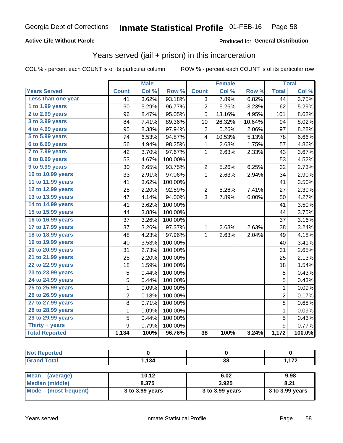### **Active Life Without Parole**

### **Produced for General Distribution**

## Years served (jail + prison) in this incarceration

COL % - percent each COUNT is of its particular column

|                        | <b>Male</b>      |       | Female           |                |        | <b>Total</b> |                  |        |
|------------------------|------------------|-------|------------------|----------------|--------|--------------|------------------|--------|
| <b>Years Served</b>    | <b>Count</b>     | Col % | Row <sup>%</sup> | <b>Count</b>   | Col %  | Row %        | <b>Total</b>     | Col %  |
| Less than one year     | 41               | 3.62% | 93.18%           | $\overline{3}$ | 7.89%  | 6.82%        | 44               | 3.75%  |
| 1 to 1.99 years        | 60               | 5.29% | 96.77%           | $\overline{2}$ | 5.26%  | 3.23%        | 62               | 5.29%  |
| 2 to 2.99 years        | 96               | 8.47% | 95.05%           | 5              | 13.16% | 4.95%        | 101              | 8.62%  |
| 3 to 3.99 years        | 84               | 7.41% | 89.36%           | 10             | 26.32% | 10.64%       | 94               | 8.02%  |
| 4 to 4.99 years        | 95               | 8.38% | 97.94%           | $\sqrt{2}$     | 5.26%  | 2.06%        | 97               | 8.28%  |
| 5 to 5.99 years        | 74               | 6.53% | 94.87%           | 4              | 10.53% | 5.13%        | 78               | 6.66%  |
| 6 to 6.99 years        | 56               | 4.94% | 98.25%           | 1              | 2.63%  | 1.75%        | 57               | 4.86%  |
| 7 to 7.99 years        | 42               | 3.70% | 97.67%           | $\mathbf 1$    | 2.63%  | 2.33%        | 43               | 3.67%  |
| <b>8 to 8.99 years</b> | 53               | 4.67% | 100.00%          |                |        |              | 53               | 4.52%  |
| 9 to 9.99 years        | 30               | 2.65% | 93.75%           | $\overline{c}$ | 5.26%  | 6.25%        | 32               | 2.73%  |
| 10 to 10.99 years      | 33               | 2.91% | 97.06%           | $\mathbf 1$    | 2.63%  | 2.94%        | 34               | 2.90%  |
| 11 to 11.99 years      | 41               | 3.62% | 100.00%          |                |        |              | 41               | 3.50%  |
| 12 to 12.99 years      | 25               | 2.20% | 92.59%           | 2              | 5.26%  | 7.41%        | 27               | 2.30%  |
| 13 to 13.99 years      | 47               | 4.14% | 94.00%           | 3              | 7.89%  | 6.00%        | 50               | 4.27%  |
| 14 to 14.99 years      | 41               | 3.62% | 100.00%          |                |        |              | 41               | 3.50%  |
| 15 to 15.99 years      | 44               | 3.88% | 100.00%          |                |        |              | 44               | 3.75%  |
| 16 to 16.99 years      | 37               | 3.26% | 100.00%          |                |        |              | 37               | 3.16%  |
| 17 to 17.99 years      | 37               | 3.26% | 97.37%           | 1              | 2.63%  | 2.63%        | 38               | 3.24%  |
| 18 to 18.99 years      | 48               | 4.23% | 97.96%           | 1              | 2.63%  | 2.04%        | 49               | 4.18%  |
| 19 to 19.99 years      | 40               | 3.53% | 100.00%          |                |        |              | 40               | 3.41%  |
| 20 to 20.99 years      | 31               | 2.73% | 100.00%          |                |        |              | 31               | 2.65%  |
| 21 to 21.99 years      | 25               | 2.20% | 100.00%          |                |        |              | 25               | 2.13%  |
| 22 to 22.99 years      | 18               | 1.59% | 100.00%          |                |        |              | 18               | 1.54%  |
| 23 to 23.99 years      | 5                | 0.44% | 100.00%          |                |        |              | 5                | 0.43%  |
| 24 to 24.99 years      | 5                | 0.44% | 100.00%          |                |        |              | 5                | 0.43%  |
| 25 to 25.99 years      | $\mathbf{1}$     | 0.09% | 100.00%          |                |        |              | $\mathbf{1}$     | 0.09%  |
| 26 to 26.99 years      | $\overline{c}$   | 0.18% | 100.00%          |                |        |              | $\overline{c}$   | 0.17%  |
| 27 to 27.99 years      | 8                | 0.71% | 100.00%          |                |        |              | 8                | 0.68%  |
| 28 to 28.99 years      | $\mathbf 1$      | 0.09% | 100.00%          |                |        |              | $\mathbf 1$      | 0.09%  |
| 29 to 29.99 years      | 5                | 0.44% | 100.00%          |                |        |              | 5                | 0.43%  |
| Thirty + years         | $\boldsymbol{9}$ | 0.79% | 100.00%          |                |        |              | $\boldsymbol{9}$ | 0.77%  |
| <b>Total Reported</b>  | 1,134            | 100%  | 96.76%           | 38             | 100%   | 3.24%        | 1,172            | 100.0% |

| <b>Not Reported</b> |       |    |                           |
|---------------------|-------|----|---------------------------|
| <b>Grand Total</b>  | 1,134 | 38 | 1 172<br>1 , 1 <i>1 4</i> |
|                     |       |    |                           |

| Mean<br>(average)    | 10.12           | 6.02            | 9.98            |
|----------------------|-----------------|-----------------|-----------------|
| Median (middle)      | 8.375           | 3.925           | 8.21            |
| Mode (most frequent) | 3 to 3.99 years | 3 to 3.99 years | 3 to 3.99 years |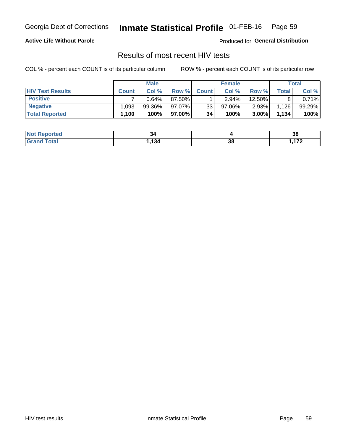#### Inmate Statistical Profile 01-FEB-16 Page 59

### **Active Life Without Parole**

Produced for General Distribution

### Results of most recent HIV tests

COL % - percent each COUNT is of its particular column

|                         |              | <b>Male</b> |         |              | <b>Female</b> |          |             | Total  |
|-------------------------|--------------|-------------|---------|--------------|---------------|----------|-------------|--------|
| <b>HIV Test Results</b> | <b>Count</b> | Col%        | Row %   | <b>Count</b> | Col %         | Row %    | $\tau$ otal | Col %  |
| <b>Positive</b>         |              | 0.64%       | 87.50%  |              | $2.94\%$      | 12.50%   |             | 0.71%  |
| <b>Negative</b>         | .093         | $99.36\%$   | 97.07%  | 33           | $97.06\%$     | $2.93\%$ | 1,126       | 99.29% |
| <b>Total Reported</b>   | $.100^+$     | 100%        | 97.00%I | 34           | 100%          | 3.00%    | 1,134       | 100%   |

| <b>Not Reported</b> | 34  |    | 38           |
|---------------------|-----|----|--------------|
| <b>Total</b>        | 134 | 38 | $1 - \alpha$ |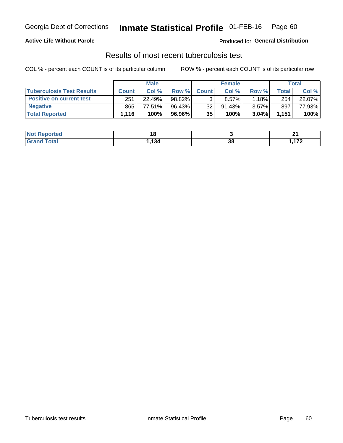## Georgia Dept of Corrections **Inmate Statistical Profile** 01-FEB-16 Page 60

### **Active Life Without Parole**

Produced for **General Distribution**

## Results of most recent tuberculosis test

COL % - percent each COUNT is of its particular column ROW % - percent each COUNT is of its particular row

|                                  | <b>Male</b>  |        |           | <b>Female</b> |           |          | Total        |        |
|----------------------------------|--------------|--------|-----------|---------------|-----------|----------|--------------|--------|
| <b>Tuberculosis Test Results</b> | <b>Count</b> | Col%   | Row %I    | <b>Count</b>  | Col %     | Row %    | <b>Total</b> | Col %  |
| <b>Positive on current test</b>  | 251          | 22.49% | 98.82%    |               | $8.57\%$  | 1.18%    | 254          | 22.07% |
| <b>Negative</b>                  | 865          | 77.51% | $96.43\%$ | 32            | $91.43\%$ | $3.57\%$ | 897          | 77.93% |
| <b>Total Reported</b>            | l.116        | 100%   | 96.96%    | 35            | 100%      | 3.04%    | 1,151        | 100%   |

| <b>Not Reported</b> |     |           | . .<br>- - |
|---------------------|-----|-----------|------------|
| <b>Total</b>        | 134 | n c<br>၁၀ | 170        |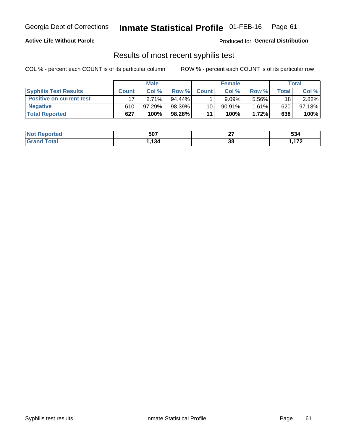## Georgia Dept of Corrections **Inmate Statistical Profile** 01-FEB-16 Page 61

### **Active Life Without Parole**

Produced for **General Distribution**

### Results of most recent syphilis test

COL % - percent each COUNT is of its particular column ROW % - percent each COUNT is of its particular row

|                                 | <b>Male</b>  |        |           | <b>Female</b> |           |          | Total   |        |
|---------------------------------|--------------|--------|-----------|---------------|-----------|----------|---------|--------|
| <b>Syphilis Test Results</b>    | <b>Count</b> | Col%   | Row %     | <b>Count</b>  | Col %     | Row %I   | Total i | Col %  |
| <b>Positive on current test</b> |              | 2.71%  | $94.44\%$ |               | 9.09%     | 5.56%    | 18      | 2.82%  |
| <b>Negative</b>                 | 610          | 97.29% | 98.39%    | 10            | $90.91\%$ | $1.61\%$ | 620     | 97.18% |
| <b>Total Reported</b>           | 627          | 100%   | 98.28%    | 11            | 100%      | 1.72%    | 638     | 100%   |

| <b>Not Reported</b>   | 507 | ~-<br>-- | ra 1<br>534 |
|-----------------------|-----|----------|-------------|
| <b>Total</b><br>Granc | 134 | 38       | ィフヘ         |